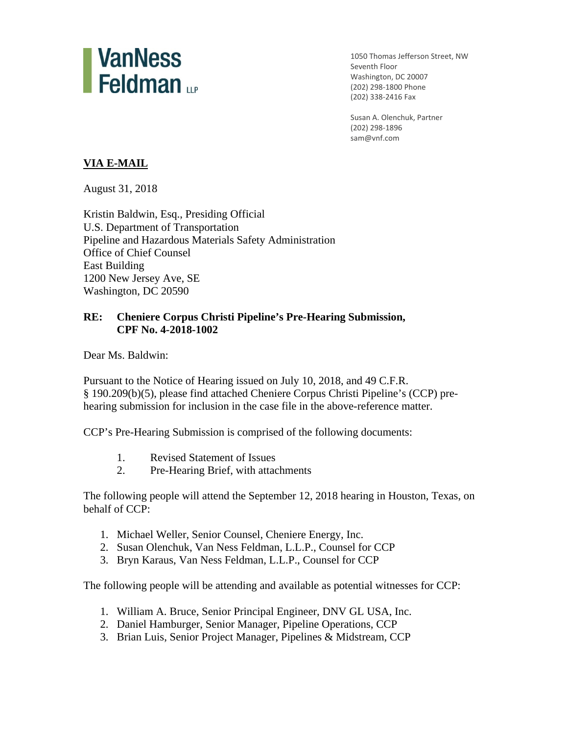

 1050 Thomas Jefferson Street, NW Seventh Floor Washington, DC 20007 (202) 298‐1800 Phone (202) 338‐2416 Fax

 Susan A. Olenchuk, Partner (202) 298‐1896 sam@vnf.com

# **VIA E-MAIL**

August 31, 2018

Kristin Baldwin, Esq., Presiding Official U.S. Department of Transportation Pipeline and Hazardous Materials Safety Administration Office of Chief Counsel East Building 1200 New Jersey Ave, SE Washington, DC 20590

# **RE: Cheniere Corpus Christi Pipeline's Pre-Hearing Submission, CPF No. 4-2018-1002**

Dear Ms. Baldwin:

Pursuant to the Notice of Hearing issued on July 10, 2018, and 49 C.F.R. § 190.209(b)(5), please find attached Cheniere Corpus Christi Pipeline's (CCP) prehearing submission for inclusion in the case file in the above-reference matter.

CCP's Pre-Hearing Submission is comprised of the following documents:

- 1. Revised Statement of Issues
- 2. Pre-Hearing Brief, with attachments

The following people will attend the September 12, 2018 hearing in Houston, Texas, on behalf of CCP:

- 1. Michael Weller, Senior Counsel, Cheniere Energy, Inc.
- 2. Susan Olenchuk, Van Ness Feldman, L.L.P., Counsel for CCP
- 3. Bryn Karaus, Van Ness Feldman, L.L.P., Counsel for CCP

The following people will be attending and available as potential witnesses for CCP:

- 1. William A. Bruce, Senior Principal Engineer, DNV GL USA, Inc.
- 2. Daniel Hamburger, Senior Manager, Pipeline Operations, CCP
- 3. Brian Luis, Senior Project Manager, Pipelines & Midstream, CCP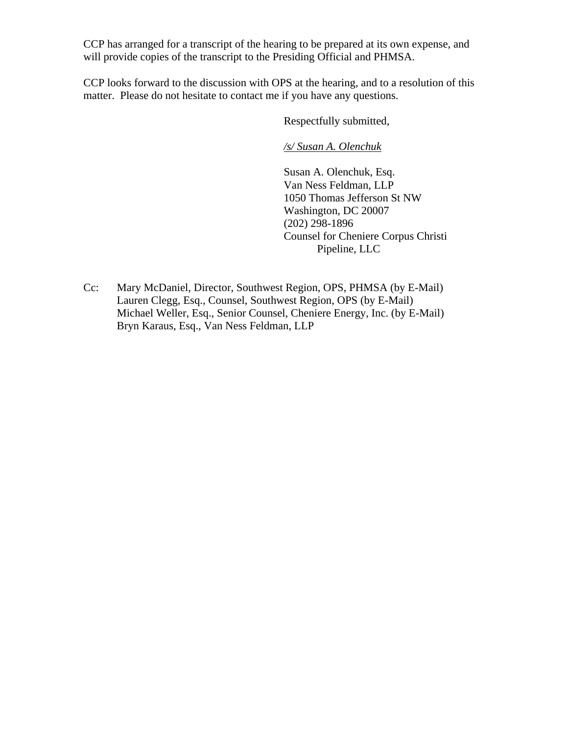CCP has arranged for a transcript of the hearing to be prepared at its own expense, and will provide copies of the transcript to the Presiding Official and PHMSA.

CCP looks forward to the discussion with OPS at the hearing, and to a resolution of this matter. Please do not hesitate to contact me if you have any questions.

Respectfully submitted,

*/s/ Susan A. Olenchuk* 

 Van Ness Feldman, LLP Susan A. Olenchuk, Esq. 1050 Thomas Jefferson St NW Washington, DC 20007 (202) 298-1896 Counsel for Cheniere Corpus Christi Pipeline, LLC

Cc: Mary McDaniel, Director, Southwest Region, OPS, PHMSA (by E-Mail) Lauren Clegg, Esq., Counsel, Southwest Region, OPS (by E-Mail) Michael Weller, Esq., Senior Counsel, Cheniere Energy, Inc. (by E-Mail) Bryn Karaus, Esq., Van Ness Feldman, LLP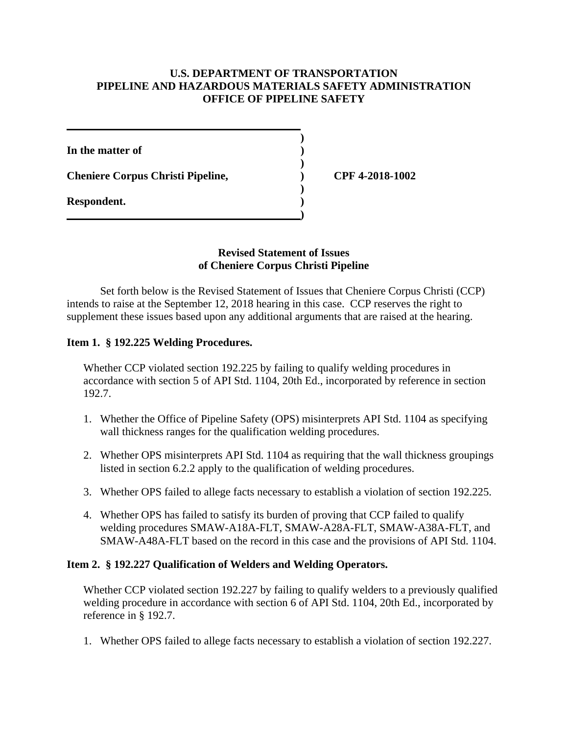# **U.S. DEPARTMENT OF TRANSPORTATION PIPELINE AND HAZARDOUS MATERIALS SAFETY ADMINISTRATION OFFICE OF PIPELINE SAFETY**

**Cheniere Corpus Christi Pipeline, ) CPF 4-2018-1002** 

## **Revised Statement of Issues of Cheniere Corpus Christi Pipeline**

Set forth below is the Revised Statement of Issues that Cheniere Corpus Christi (CCP) intends to raise at the September 12, 2018 hearing in this case. CCP reserves the right to supplement these issues based upon any additional arguments that are raised at the hearing.

## **Item 1. § 192.225 Welding Procedures.**

Whether CCP violated section 192.225 by failing to qualify welding procedures in accordance with section 5 of API Std. 1104, 20th Ed., incorporated by reference in section 192.7.

- 1. Whether the Office of Pipeline Safety (OPS) misinterprets API Std. 1104 as specifying wall thickness ranges for the qualification welding procedures.
- 2. Whether OPS misinterprets API Std. 1104 as requiring that the wall thickness groupings listed in section 6.2.2 apply to the qualification of welding procedures.
- 3. Whether OPS failed to allege facts necessary to establish a violation of section 192.225.
- 4. Whether OPS has failed to satisfy its burden of proving that CCP failed to qualify welding procedures SMAW-A18A-FLT, SMAW-A28A-FLT, SMAW-A38A-FLT, and SMAW-A48A-FLT based on the record in this case and the provisions of API Std. 1104.

## **Item 2. § 192.227 Qualification of Welders and Welding Operators.**

Whether CCP violated section 192.227 by failing to qualify welders to a previously qualified welding procedure in accordance with section 6 of API Std. 1104, 20th Ed., incorporated by reference in § 192.7.

1. Whether OPS failed to allege facts necessary to establish a violation of section 192.227.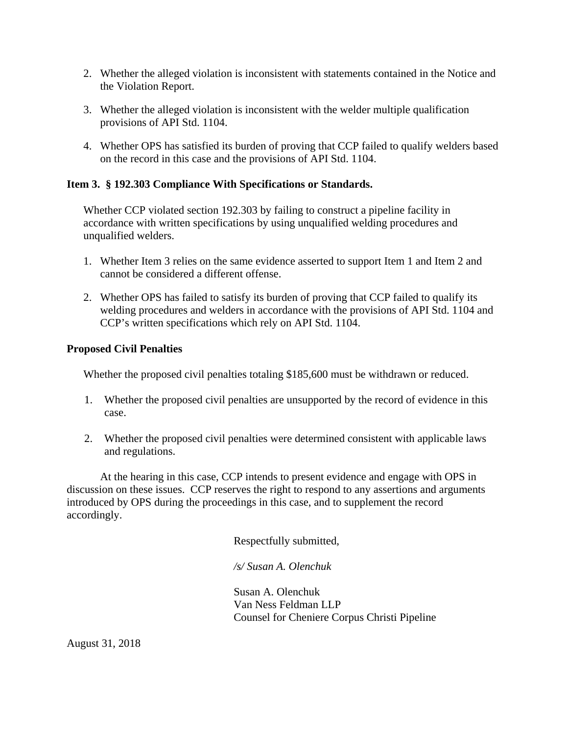- 2. Whether the alleged violation is inconsistent with statements contained in the Notice and the Violation Report.
- 3. Whether the alleged violation is inconsistent with the welder multiple qualification provisions of API Std. 1104.
- 4. Whether OPS has satisfied its burden of proving that CCP failed to qualify welders based on the record in this case and the provisions of API Std. 1104.

# **Item 3. § 192.303 Compliance With Specifications or Standards.**

Whether CCP violated section 192.303 by failing to construct a pipeline facility in accordance with written specifications by using unqualified welding procedures and unqualified welders.

- 1. Whether Item 3 relies on the same evidence asserted to support Item 1 and Item 2 and cannot be considered a different offense.
- 2. Whether OPS has failed to satisfy its burden of proving that CCP failed to qualify its welding procedures and welders in accordance with the provisions of API Std. 1104 and CCP's written specifications which rely on API Std. 1104.

# **Proposed Civil Penalties**

Whether the proposed civil penalties totaling \$185,600 must be withdrawn or reduced.

- 1. Whether the proposed civil penalties are unsupported by the record of evidence in this case.
- 2. Whether the proposed civil penalties were determined consistent with applicable laws and regulations.

At the hearing in this case, CCP intends to present evidence and engage with OPS in discussion on these issues. CCP reserves the right to respond to any assertions and arguments introduced by OPS during the proceedings in this case, and to supplement the record accordingly.

Respectfully submitted,

 */s/ Susan A. Olenchuk* 

 Van Ness Feldman LLP Susan A. Olenchuk Counsel for Cheniere Corpus Christi Pipeline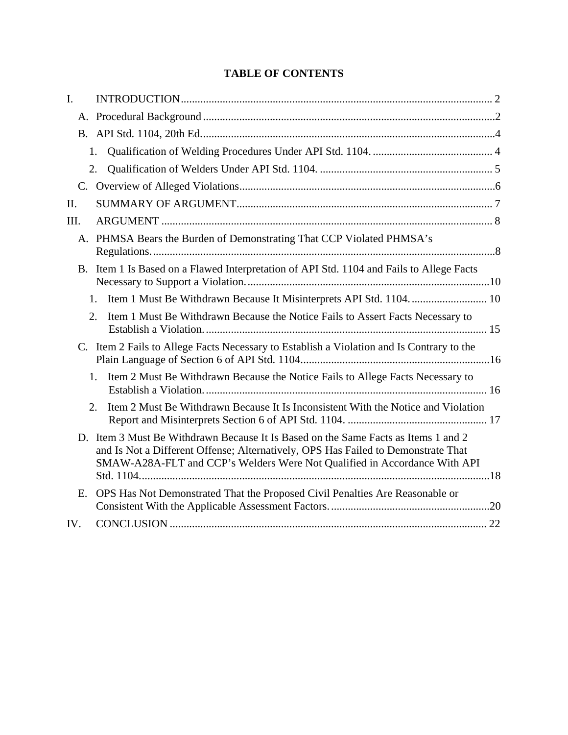# **TABLE OF CONTENTS**

| $\mathbf{I}$ . |                                                                                                                                                                                                                                                      |  |
|----------------|------------------------------------------------------------------------------------------------------------------------------------------------------------------------------------------------------------------------------------------------------|--|
|                |                                                                                                                                                                                                                                                      |  |
|                |                                                                                                                                                                                                                                                      |  |
|                | 1.                                                                                                                                                                                                                                                   |  |
|                | 2.                                                                                                                                                                                                                                                   |  |
|                |                                                                                                                                                                                                                                                      |  |
| II.            |                                                                                                                                                                                                                                                      |  |
| III.           |                                                                                                                                                                                                                                                      |  |
|                | A. PHMSA Bears the Burden of Demonstrating That CCP Violated PHMSA's                                                                                                                                                                                 |  |
|                | B. Item 1 Is Based on a Flawed Interpretation of API Std. 1104 and Fails to Allege Facts                                                                                                                                                             |  |
|                | 1.                                                                                                                                                                                                                                                   |  |
|                | Item 1 Must Be Withdrawn Because the Notice Fails to Assert Facts Necessary to<br>2.                                                                                                                                                                 |  |
| C.             | Item 2 Fails to Allege Facts Necessary to Establish a Violation and Is Contrary to the                                                                                                                                                               |  |
|                | $1_{-}$<br>Item 2 Must Be Withdrawn Because the Notice Fails to Allege Facts Necessary to                                                                                                                                                            |  |
|                | Item 2 Must Be Withdrawn Because It Is Inconsistent With the Notice and Violation<br>2.                                                                                                                                                              |  |
|                | D. Item 3 Must Be Withdrawn Because It Is Based on the Same Facts as Items 1 and 2<br>and Is Not a Different Offense; Alternatively, OPS Has Failed to Demonstrate That<br>SMAW-A28A-FLT and CCP's Welders Were Not Qualified in Accordance With API |  |
| Е.             | OPS Has Not Demonstrated That the Proposed Civil Penalties Are Reasonable or                                                                                                                                                                         |  |
| IV.            |                                                                                                                                                                                                                                                      |  |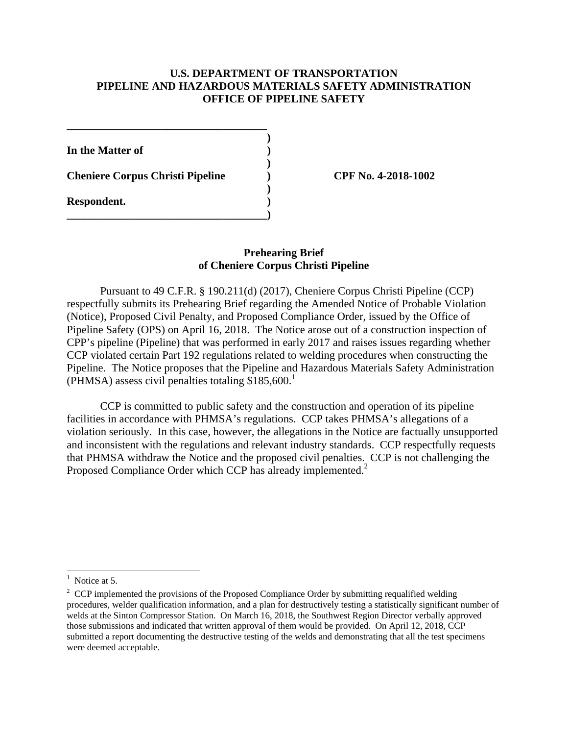## **U.S. DEPARTMENT OF TRANSPORTATION PIPELINE AND HAZARDOUS MATERIALS SAFETY ADMINISTRATION OFFICE OF PIPELINE SAFETY**

**)** 

**)** 

**)** 

**In the Matter of )** 

**Cheniere Corpus Christi Pipeline ) CPF No. 4-2018-1002** 

**\_\_\_\_\_\_\_\_\_\_\_\_\_\_\_\_\_\_\_\_\_\_\_\_\_\_\_\_\_\_\_\_\_\_\_\_** 

**\_\_\_\_\_\_\_\_\_\_\_\_\_\_\_\_\_\_\_\_\_\_\_\_\_\_\_\_\_\_\_\_\_\_\_\_)** 

**Respondent. )** 

## **of Cheniere Corpus Christi Pipeline Prehearing Brief**

Pursuant to 49 C.F.R. § 190.211(d) (2017), Cheniere Corpus Christi Pipeline (CCP) respectfully submits its Prehearing Brief regarding the Amended Notice of Probable Violation (Notice), Proposed Civil Penalty, and Proposed Compliance Order, issued by the Office of Pipeline Safety (OPS) on April 16, 2018. The Notice arose out of a construction inspection of CPP's pipeline (Pipeline) that was performed in early 2017 and raises issues regarding whether CCP violated certain Part 192 regulations related to welding procedures when constructing the Pipeline. The Notice proposes that the Pipeline and Hazardous Materials Safety Administration (PHMSA) assess civil penalties totaling  $$185,600$ <sup>1</sup>

CCP is committed to public safety and the construction and operation of its pipeline facilities in accordance with PHMSA's regulations. CCP takes PHMSA's allegations of a violation seriously. In this case, however, the allegations in the Notice are factually unsupported and inconsistent with the regulations and relevant industry standards. CCP respectfully requests that PHMSA withdraw the Notice and the proposed civil penalties. CCP is not challenging the Proposed Compliance Order which CCP has already implemented.<sup>2</sup>

 $<sup>1</sup>$  Notice at 5.</sup>

 welds at the Sinton Compressor Station. On March 16, 2018, the Southwest Region Director verbally approved those submissions and indicated that written approval of them would be provided. On April 12, 2018, CCP <sup>2</sup> CCP implemented the provisions of the Proposed Compliance Order by submitting requalified welding procedures, welder qualification information, and a plan for destructively testing a statistically significant number of submitted a report documenting the destructive testing of the welds and demonstrating that all the test specimens were deemed acceptable.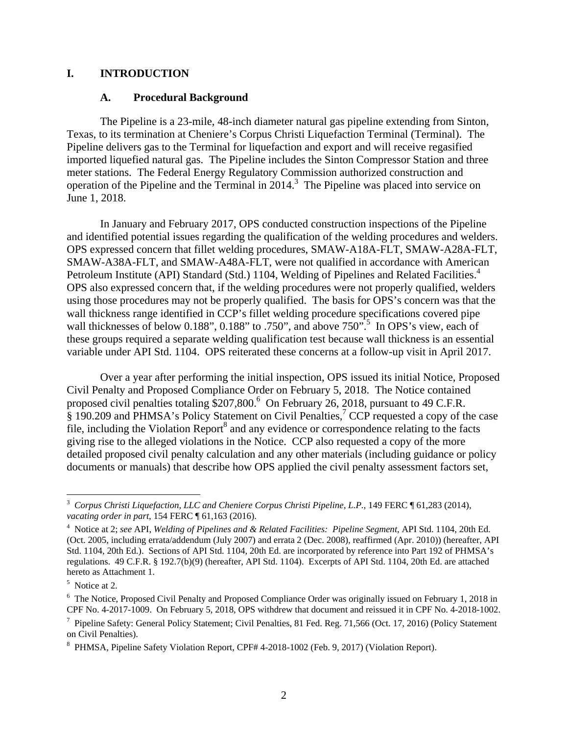#### **I. INTRODUCTION**

#### **A. Procedural Background**

The Pipeline is a 23-mile, 48-inch diameter natural gas pipeline extending from Sinton, Texas, to its termination at Cheniere's Corpus Christi Liquefaction Terminal (Terminal). The Pipeline delivers gas to the Terminal for liquefaction and export and will receive regasified imported liquefied natural gas. The Pipeline includes the Sinton Compressor Station and three meter stations. The Federal Energy Regulatory Commission authorized construction and operation of the Pipeline and the Terminal in 2014.3 The Pipeline was placed into service on June 1, 2018.

Petroleum Institute (API) Standard (Std.) 1104, Welding of Pipelines and Related Facilities.<sup>4</sup> In January and February 2017, OPS conducted construction inspections of the Pipeline and identified potential issues regarding the qualification of the welding procedures and welders. OPS expressed concern that fillet welding procedures, SMAW-A18A-FLT, SMAW-A28A-FLT, SMAW-A38A-FLT, and SMAW-A48A-FLT, were not qualified in accordance with American OPS also expressed concern that, if the welding procedures were not properly qualified, welders using those procedures may not be properly qualified. The basis for OPS's concern was that the wall thickness range identified in CCP's fillet welding procedure specifications covered pipe wall thicknesses of below 0.188", 0.188" to .750", and above 750".<sup>5</sup> In OPS's view, each of these groups required a separate welding qualification test because wall thickness is an essential variable under API Std. 1104. OPS reiterated these concerns at a follow-up visit in April 2017.

Over a year after performing the initial inspection, OPS issued its initial Notice, Proposed Civil Penalty and Proposed Compliance Order on February 5, 2018. The Notice contained proposed civil penalties totaling \$207,800.<sup>6</sup> On February 26, 2018, pursuant to 49 C.F.R.  $\S$  190.209 and PHMSA's Policy Statement on Civil Penalties,<sup>7</sup> CCP requested a copy of the case file, including the Violation Report<sup>8</sup> and any evidence or correspondence relating to the facts giving rise to the alleged violations in the Notice. CCP also requested a copy of the more detailed proposed civil penalty calculation and any other materials (including guidance or policy documents or manuals) that describe how OPS applied the civil penalty assessment factors set,

 <sup>3</sup>*Corpus Christi Liquefaction, LLC and Cheniere Corpus Christi Pipeline, L.P.*, 149 FERC ¶ 61,283 (2014), *vacating order in part*, 154 FERC ¶ 61,163 (2016).<br><sup>4</sup> Notice at 2; *see API, Welding of Pipelines and & Related Facilities: Pipeline Segment*, API Std. 1104, 20th Ed.

 (Oct. 2005, including errata/addendum (July 2007) and errata 2 (Dec. 2008), reaffirmed (Apr. 2010)) (hereafter, API Std. 1104, 20th Ed.). Sections of API Std. 1104, 20th Ed. are incorporated by reference into Part 192 of PHMSA's regulations. 49 C.F.R. § 192.7(b)(9) (hereafter, API Std. 1104). Excerpts of API Std. 1104, 20th Ed. are attached hereto as Attachment 1.<br><sup>5</sup> Notice at 2.

<sup>&</sup>lt;sup>6</sup> The Notice, Proposed Civil Penalty and Proposed Compliance Order was originally issued on February 1, 2018 in CPF No. 4-2017-1009. On February 5, 2018, OPS withdrew that document and reissued it in CPF No. 4-2018-1002.

<sup>&</sup>lt;sup>7</sup> Pipeline Safety: General Policy Statement; Civil Penalties, 81 Fed. Reg. 71,566 (Oct. 17, 2016) (Policy Statement on Civil Penalties).

 8 PHMSA, Pipeline Safety Violation Report, CPF# 4-2018-1002 (Feb. 9, 2017) (Violation Report). 2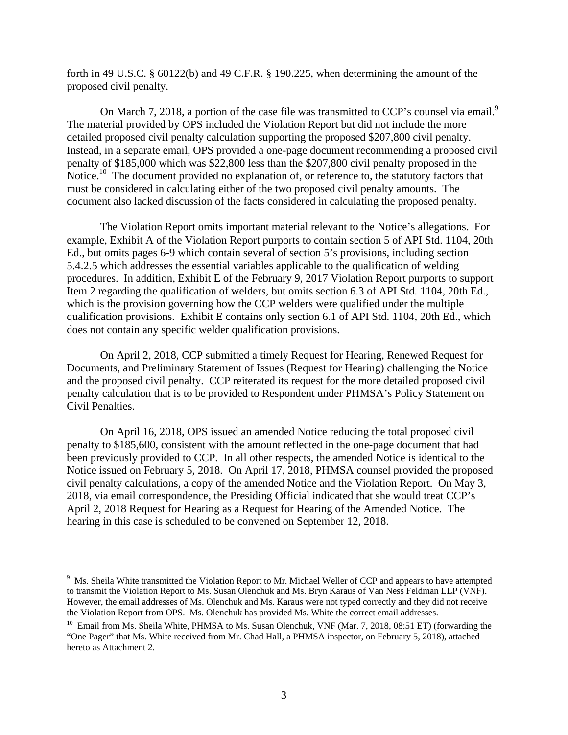forth in 49 U.S.C. § 60122(b) and 49 C.F.R. § 190.225, when determining the amount of the proposed civil penalty.

On March 7, 2018, a portion of the case file was transmitted to CCP's counsel via email.<sup>9</sup> The material provided by OPS included the Violation Report but did not include the more detailed proposed civil penalty calculation supporting the proposed \$207,800 civil penalty. Instead, in a separate email, OPS provided a one-page document recommending a proposed civil penalty of \$185,000 which was \$22,800 less than the \$207,800 civil penalty proposed in the Notice.<sup>10</sup> The document provided no explanation of, or reference to, the statutory factors that must be considered in calculating either of the two proposed civil penalty amounts. The document also lacked discussion of the facts considered in calculating the proposed penalty.

The Violation Report omits important material relevant to the Notice's allegations. For example, Exhibit A of the Violation Report purports to contain section 5 of API Std. 1104, 20th Ed., but omits pages 6-9 which contain several of section 5's provisions, including section 5.4.2.5 which addresses the essential variables applicable to the qualification of welding procedures. In addition, Exhibit E of the February 9, 2017 Violation Report purports to support Item 2 regarding the qualification of welders, but omits section 6.3 of API Std. 1104, 20th Ed., which is the provision governing how the CCP welders were qualified under the multiple qualification provisions. Exhibit E contains only section 6.1 of API Std. 1104, 20th Ed., which does not contain any specific welder qualification provisions.

On April 2, 2018, CCP submitted a timely Request for Hearing, Renewed Request for Documents, and Preliminary Statement of Issues (Request for Hearing) challenging the Notice and the proposed civil penalty. CCP reiterated its request for the more detailed proposed civil penalty calculation that is to be provided to Respondent under PHMSA's Policy Statement on Civil Penalties.

On April 16, 2018, OPS issued an amended Notice reducing the total proposed civil penalty to \$185,600, consistent with the amount reflected in the one-page document that had been previously provided to CCP. In all other respects, the amended Notice is identical to the Notice issued on February 5, 2018. On April 17, 2018, PHMSA counsel provided the proposed civil penalty calculations, a copy of the amended Notice and the Violation Report. On May 3, 2018, via email correspondence, the Presiding Official indicated that she would treat CCP's April 2, 2018 Request for Hearing as a Request for Hearing of the Amended Notice. The hearing in this case is scheduled to be convened on September 12, 2018.

the Violation Report from OPS. Ms. Olenchuk has provided Ms. White the correct email addresses. <sup>9</sup> Ms. Sheila White transmitted the Violation Report to Mr. Michael Weller of CCP and appears to have attempted to transmit the Violation Report to Ms. Susan Olenchuk and Ms. Bryn Karaus of Van Ness Feldman LLP (VNF). However, the email addresses of Ms. Olenchuk and Ms. Karaus were not typed correctly and they did not receive

<sup>&</sup>lt;sup>10</sup> Email from Ms. Sheila White, PHMSA to Ms. Susan Olenchuk, VNF (Mar. 7, 2018, 08:51 ET) (forwarding the "One Pager" that Ms. White received from Mr. Chad Hall, a PHMSA inspector, on February 5, 2018), attached hereto as Attachment 2.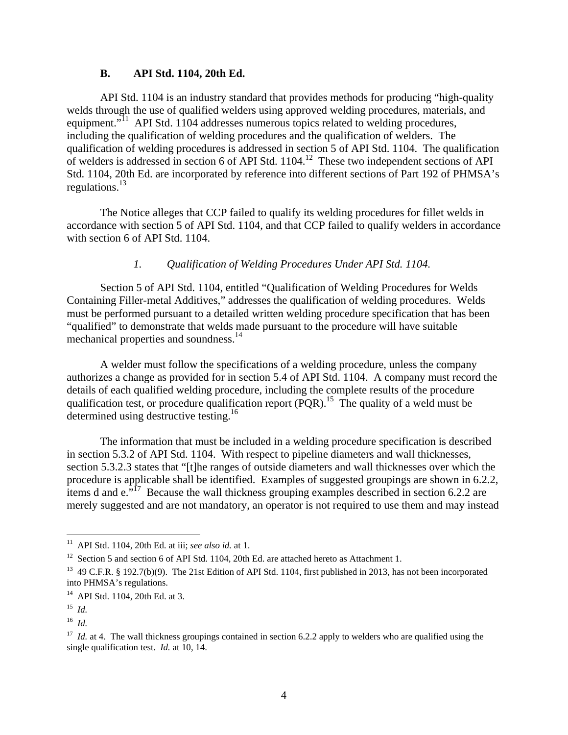#### **B. API Std. 1104, 20th Ed.**

regulations.<sup>13</sup> API Std. 1104 is an industry standard that provides methods for producing "high-quality welds through the use of qualified welders using approved welding procedures, materials, and equipment."<sup>11</sup> API Std. 1104 addresses numerous topics related to welding procedures, including the qualification of welding procedures and the qualification of welders. The qualification of welding procedures is addressed in section 5 of API Std. 1104. The qualification of welders is addressed in section 6 of API Std. 1104.12 These two independent sections of API Std. 1104, 20th Ed. are incorporated by reference into different sections of Part 192 of PHMSA's

The Notice alleges that CCP failed to qualify its welding procedures for fillet welds in accordance with section 5 of API Std. 1104, and that CCP failed to qualify welders in accordance with section 6 of API Std. 1104.

# *1. Qualification of Welding Procedures Under API Std. 1104.*

mechanical properties and soundness.<sup>14</sup> Section 5 of API Std. 1104, entitled "Qualification of Welding Procedures for Welds Containing Filler-metal Additives," addresses the qualification of welding procedures. Welds must be performed pursuant to a detailed written welding procedure specification that has been "qualified" to demonstrate that welds made pursuant to the procedure will have suitable

determined using destructive testing.<sup>16</sup> A welder must follow the specifications of a welding procedure, unless the company authorizes a change as provided for in section 5.4 of API Std. 1104. A company must record the details of each qualified welding procedure, including the complete results of the procedure qualification test, or procedure qualification report  $(\overrightarrow{PQR})$ .<sup>15</sup> The quality of a weld must be

The information that must be included in a welding procedure specification is described in section 5.3.2 of API Std. 1104. With respect to pipeline diameters and wall thicknesses, section 5.3.2.3 states that "[t]he ranges of outside diameters and wall thicknesses over which the procedure is applicable shall be identified. Examples of suggested groupings are shown in 6.2.2, items d and  $e^{i \cdot 17}$  Because the wall thickness grouping examples described in section 6.2.2 are merely suggested and are not mandatory, an operator is not required to use them and may instead

<sup>11</sup> API Std. 1104, 20th Ed. at iii; *see also id.* at 1.

<sup>&</sup>lt;sup>12</sup> Section 5 and section 6 of API Std. 1104, 20th Ed. are attached hereto as Attachment 1.

<sup>&</sup>lt;sup>13</sup> 49 C.F.R. § 192.7(b)(9). The 21st Edition of API Std. 1104, first published in 2013, has not been incorporated into PHMSA's regulations.

<sup>14</sup> API Std. 1104, 20th Ed. at 3.

 <sup>15</sup>*Id.* 

 <sup>16</sup>*Id.* 

<sup>&</sup>lt;sup>17</sup> *Id.* at 4. The wall thickness groupings contained in section 6.2.2 apply to welders who are qualified using the single qualification test. *Id.* at 10, 14.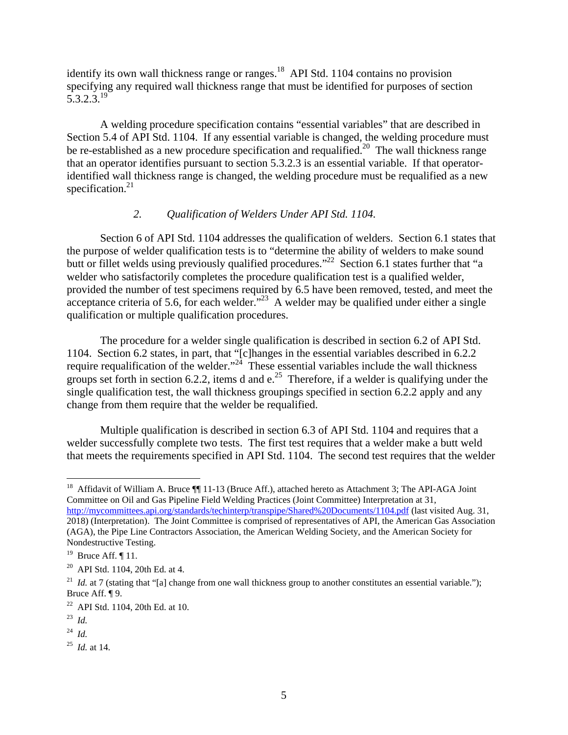$5.3.2.3.^{19}$ identify its own wall thickness range or ranges.<sup>18</sup> API Std. 1104 contains no provision specifying any required wall thickness range that must be identified for purposes of section

specification. $21$ A welding procedure specification contains "essential variables" that are described in Section 5.4 of API Std. 1104. If any essential variable is changed, the welding procedure must be re-established as a new procedure specification and requalified.<sup>20</sup> The wall thickness range that an operator identifies pursuant to section 5.3.2.3 is an essential variable. If that operatoridentified wall thickness range is changed, the welding procedure must be requalified as a new

# *2. Qualification of Welders Under API Std. 1104.*

qualification or multiple qualification procedures. Section 6 of API Std. 1104 addresses the qualification of welders. Section 6.1 states that the purpose of welder qualification tests is to "determine the ability of welders to make sound butt or fillet welds using previously qualified procedures."<sup>22</sup> Section 6.1 states further that "a welder who satisfactorily completes the procedure qualification test is a qualified welder, provided the number of test specimens required by 6.5 have been removed, tested, and meet the acceptance criteria of 5.6, for each welder."<sup>23</sup> A welder may be qualified under either a single

The procedure for a welder single qualification is described in section 6.2 of API Std. 1104. Section 6.2 states, in part, that "[c]hanges in the essential variables described in 6.2.2 require requalification of the welder."<sup>24</sup> These essential variables include the wall thickness require requalification of the welder." groups set forth in section 6.2.2, items d and  $e^{25}$  Therefore, if a welder is qualifying under the single qualification test, the wall thickness groupings specified in section 6.2.2 apply and any change from them require that the welder be requalified.

Multiple qualification is described in section 6.3 of API Std. 1104 and requires that a welder successfully complete two tests. The first test requires that a welder make a butt weld that meets the requirements specified in API Std. 1104. The second test requires that the welder

 Committee on Oil and Gas Pipeline Field Welding Practices (Joint Committee) Interpretation at 31, http://mycommittees.api.org/standards/techinterp/transpipe/Shared%20Documents/1104.pdf (last visited Aug. 31, <sup>18</sup> Affidavit of William A. Bruce ¶ 11-13 (Bruce Aff.), attached hereto as Attachment 3; The API-AGA Joint 2018) (Interpretation). The Joint Committee is comprised of representatives of API, the American Gas Association (AGA), the Pipe Line Contractors Association, the American Welding Society, and the American Society for Nondestructive Testing.

<sup>&</sup>lt;sup>19</sup> Bruce Aff.  $\P$  11.

<sup>&</sup>lt;sup>19</sup> Bruce Aff.  $\P$  11.<br><sup>20</sup> API Std. 1104, 20th Ed. at 4.

<sup>&</sup>lt;sup>21</sup> *Id.* at 7 (stating that "[a] change from one wall thickness group to another constitutes an essential variable."); Bruce Aff. ¶ 9.

<sup>22</sup> API Std. 1104, 20th Ed. at 10.

 <sup>23</sup>*Id.* 

 <sup>24</sup>*Id.* 

 <sup>25</sup>*Id.* at 14.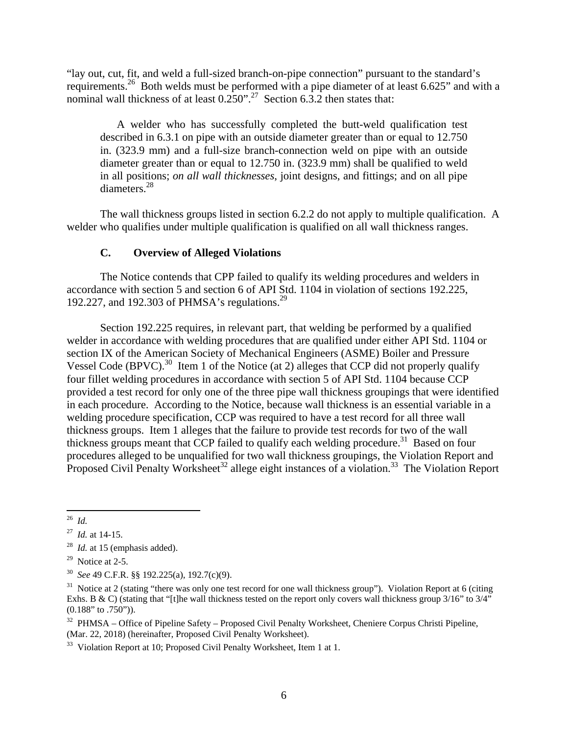"lay out, cut, fit, and weld a full-sized branch-on-pipe connection" pursuant to the standard's requirements.26 Both welds must be performed with a pipe diameter of at least 6.625" and with a nominal wall thickness of at least  $0.250$ ".<sup>27</sup> Section 6.3.2 then states that:

A welder who has successfully completed the butt-weld qualification test described in 6.3.1 on pipe with an outside diameter greater than or equal to 12.750 in. (323.9 mm) and a full-size branch-connection weld on pipe with an outside diameter greater than or equal to 12.750 in. (323.9 mm) shall be qualified to weld in all positions; *on all wall thicknesses*, joint designs, and fittings; and on all pipe diameters.28

The wall thickness groups listed in section 6.2.2 do not apply to multiple qualification. A welder who qualifies under multiple qualification is qualified on all wall thickness ranges.

## **C. Overview of Alleged Violations**

192.227, and 192.303 of PHMSA's regulations.<sup>29</sup> The Notice contends that CPP failed to qualify its welding procedures and welders in accordance with section 5 and section 6 of API Std. 1104 in violation of sections 192.225,

Section 192.225 requires, in relevant part, that welding be performed by a qualified welder in accordance with welding procedures that are qualified under either API Std. 1104 or section IX of the American Society of Mechanical Engineers (ASME) Boiler and Pressure Vessel Code (BPVC).<sup>30</sup> Item 1 of the Notice (at 2) alleges that CCP did not properly qualify four fillet welding procedures in accordance with section 5 of API Std. 1104 because CCP provided a test record for only one of the three pipe wall thickness groupings that were identified in each procedure. According to the Notice, because wall thickness is an essential variable in a welding procedure specification, CCP was required to have a test record for all three wall thickness groups. Item 1 alleges that the failure to provide test records for two of the wall thickness groups meant that CCP failed to qualify each welding procedure.<sup>31</sup> Based on four procedures alleged to be unqualified for two wall thickness groupings, the Violation Report and Proposed Civil Penalty Worksheet<sup>32</sup> allege eight instances of a violation.<sup>33</sup> The Violation Report

 $\overline{a}$ 

 $29$  Notice at 2-5.

 <sup>26</sup>*Id.* 

 $^{27}$  *Id.* at 14-15.

 <sup>27</sup>*Id.* at 14-15. 28 *Id.* at 15 (emphasis added).

<sup>&</sup>lt;sup>30</sup> See 49 C.F.R. §§ 192.225(a), 192.7(c)(9).

 Exhs. B & C) (stating that "[t]he wall thickness tested on the report only covers wall thickness group 3/16" to 3/4" <sup>31</sup> Notice at 2 (stating "there was only one test record for one wall thickness group"). Violation Report at 6 (citing (0.188" to .750")).

<sup>(</sup>Mar. 22, 2018) (hereinafter, Proposed Civil Penalty Worksheet). <sup>32</sup> PHMSA – Office of Pipeline Safety – Proposed Civil Penalty Worksheet, Cheniere Corpus Christi Pipeline,

 $^{33}$  Violation Report at 10: Proposed Civil Penalty Worksheet. Item 1 at 1.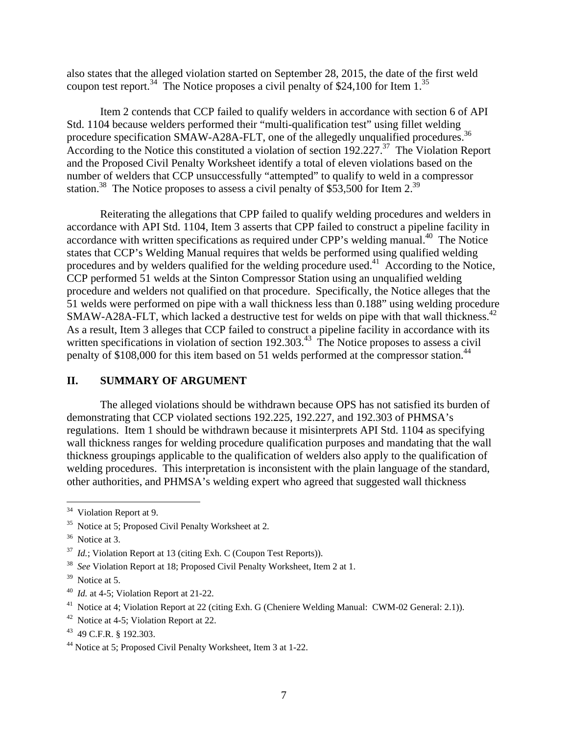also states that the alleged violation started on September 28, 2015, the date of the first weld coupon test report.<sup>34</sup> The Notice proposes a civil penalty of \$24,100 for Item 1.<sup>35</sup>

procedure specification SMAW-A28A-FLT, one of the allegedly unqualified procedures.<sup>36</sup> station.<sup>38</sup> The Notice proposes to assess a civil penalty of \$53,500 for Item 2.<sup>39</sup> Item 2 contends that CCP failed to qualify welders in accordance with section 6 of API Std. 1104 because welders performed their "multi-qualification test" using fillet welding According to the Notice this constituted a violation of section  $192.227$ <sup>37</sup>. The Violation Report and the Proposed Civil Penalty Worksheet identify a total of eleven violations based on the number of welders that CCP unsuccessfully "attempted" to qualify to weld in a compressor

SMAW-A28A-FLT, which lacked a destructive test for welds on pipe with that wall thickness.<sup>42</sup> Reiterating the allegations that CPP failed to qualify welding procedures and welders in accordance with API Std. 1104, Item 3 asserts that CPP failed to construct a pipeline facility in accordance with written specifications as required under CPP's welding manual.<sup>40</sup> The Notice states that CCP's Welding Manual requires that welds be performed using qualified welding procedures and by welders qualified for the welding procedure used.<sup>41</sup> According to the Notice, CCP performed 51 welds at the Sinton Compressor Station using an unqualified welding procedure and welders not qualified on that procedure. Specifically, the Notice alleges that the 51 welds were performed on pipe with a wall thickness less than 0.188" using welding procedure As a result, Item 3 alleges that CCP failed to construct a pipeline facility in accordance with its written specifications in violation of section 192.303.<sup>43</sup> The Notice proposes to assess a civil penalty of \$108,000 for this item based on 51 welds performed at the compressor station.<sup>44</sup>

## **II. SUMMARY OF ARGUMENT**

The alleged violations should be withdrawn because OPS has not satisfied its burden of demonstrating that CCP violated sections 192.225, 192.227, and 192.303 of PHMSA's regulations. Item 1 should be withdrawn because it misinterprets API Std. 1104 as specifying wall thickness ranges for welding procedure qualification purposes and mandating that the wall thickness groupings applicable to the qualification of welders also apply to the qualification of welding procedures. This interpretation is inconsistent with the plain language of the standard, other authorities, and PHMSA's welding expert who agreed that suggested wall thickness

<sup>&</sup>lt;sup>34</sup> Violation Report at 9.

<sup>&</sup>lt;sup>35</sup> Notice at 5; Proposed Civil Penalty Worksheet at 2.<br><sup>36</sup> Notice at 3.

 $^{37}$  *Id.*; Violation Report at 13 (citing Exh. C (Coupon Test Reports)).

<sup>&</sup>lt;sup>37</sup> *Id.*; Violation Report at 13 (citing Exh. C (Coupon Test Reports)).<br><sup>38</sup> *See* Violation Report at 18; Proposed Civil Penalty Worksheet, Item 2 at 1.

 $39$  Notice at 5.

<sup>&</sup>lt;sup>40</sup> *Id.* at 4-5; Violation Report at 21-22.

<sup>&</sup>lt;sup>40</sup> *Id.* at 4-5; Violation Report at 21-22.<br><sup>41</sup> Notice at 4; Violation Report at 22 (citing Exh. G (Cheniere Welding Manual: CWM-02 General: 2.1)).

<sup>42</sup> Notice at 4-5; Violation Report at 22.

<sup>43 49</sup> C.F.R. § 192.303.

<sup>44</sup> Notice at 5; Proposed Civil Penalty Worksheet, Item 3 at 1-22.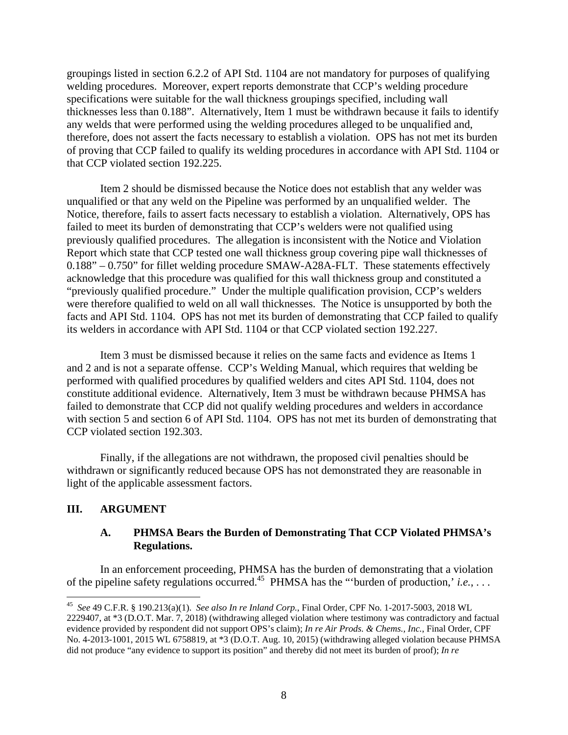groupings listed in section 6.2.2 of API Std. 1104 are not mandatory for purposes of qualifying welding procedures. Moreover, expert reports demonstrate that CCP's welding procedure specifications were suitable for the wall thickness groupings specified, including wall thicknesses less than 0.188". Alternatively, Item 1 must be withdrawn because it fails to identify any welds that were performed using the welding procedures alleged to be unqualified and, therefore, does not assert the facts necessary to establish a violation. OPS has not met its burden of proving that CCP failed to qualify its welding procedures in accordance with API Std. 1104 or that CCP violated section 192.225.

Item 2 should be dismissed because the Notice does not establish that any welder was unqualified or that any weld on the Pipeline was performed by an unqualified welder. The Notice, therefore, fails to assert facts necessary to establish a violation. Alternatively, OPS has failed to meet its burden of demonstrating that CCP's welders were not qualified using previously qualified procedures. The allegation is inconsistent with the Notice and Violation Report which state that CCP tested one wall thickness group covering pipe wall thicknesses of 0.188" – 0.750" for fillet welding procedure SMAW-A28A-FLT. These statements effectively acknowledge that this procedure was qualified for this wall thickness group and constituted a "previously qualified procedure." Under the multiple qualification provision, CCP's welders were therefore qualified to weld on all wall thicknesses. The Notice is unsupported by both the facts and API Std. 1104. OPS has not met its burden of demonstrating that CCP failed to qualify its welders in accordance with API Std. 1104 or that CCP violated section 192.227.

Item 3 must be dismissed because it relies on the same facts and evidence as Items 1 and 2 and is not a separate offense. CCP's Welding Manual, which requires that welding be performed with qualified procedures by qualified welders and cites API Std. 1104, does not constitute additional evidence. Alternatively, Item 3 must be withdrawn because PHMSA has failed to demonstrate that CCP did not qualify welding procedures and welders in accordance with section 5 and section 6 of API Std. 1104. OPS has not met its burden of demonstrating that CCP violated section 192.303.

Finally, if the allegations are not withdrawn, the proposed civil penalties should be withdrawn or significantly reduced because OPS has not demonstrated they are reasonable in light of the applicable assessment factors.

## **III. ARGUMENT**

 $\overline{a}$ 

# **A. PHMSA Bears the Burden of Demonstrating That CCP Violated PHMSA's Regulations.**

In an enforcement proceeding, PHMSA has the burden of demonstrating that a violation of the pipeline safety regulations occurred.45 PHMSA has the "'burden of production,' *i.e.*, . . .

 <sup>45</sup>*See* 49 C.F.R. § 190.213(a)(1). *See also In re Inland Corp.*, Final Order, CPF No. 1-2017-5003, 2018 WL evidence provided by respondent did not support OPS's claim); *In re Air Prods. & Chems., Inc.*, Final Order, CPF did not produce "any evidence to support its position" and thereby did not meet its burden of proof); *In re*  2229407, at \*3 (D.O.T. Mar. 7, 2018) (withdrawing alleged violation where testimony was contradictory and factual No. 4-2013-1001, 2015 WL 6758819, at \*3 (D.O.T. Aug. 10, 2015) (withdrawing alleged violation because PHMSA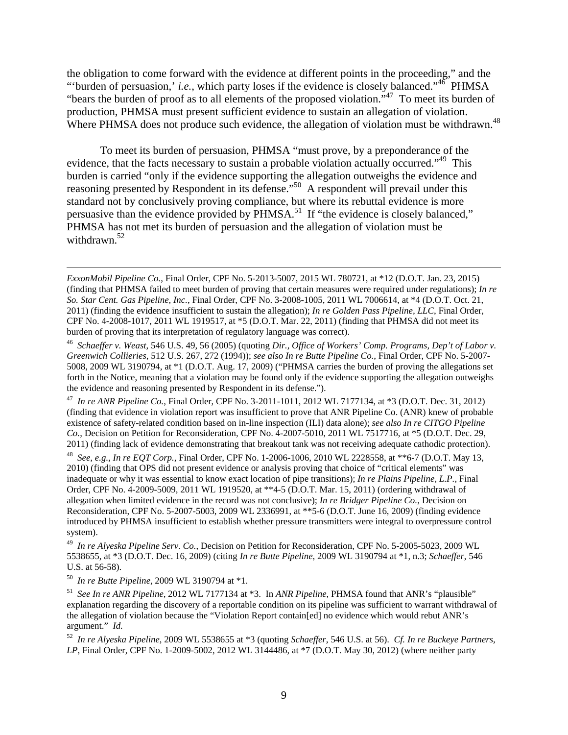Where PHMSA does not produce such evidence, the allegation of violation must be withdrawn.<sup>48</sup> the obligation to come forward with the evidence at different points in the proceeding," and the "'burden of persuasion,' *i.e.*, which party loses if the evidence is closely balanced."<sup>46</sup> PHMSA "bears the burden of proof as to all elements of the proposed violation."47 To meet its burden of production, PHMSA must present sufficient evidence to sustain an allegation of violation.

withdrawn.<sup>52</sup> To meet its burden of persuasion, PHMSA "must prove, by a preponderance of the evidence, that the facts necessary to sustain a probable violation actually occurred."<sup>49</sup> This burden is carried "only if the evidence supporting the allegation outweighs the evidence and reasoning presented by Respondent in its defense.<sup>"50</sup> A respondent will prevail under this standard not by conclusively proving compliance, but where its rebuttal evidence is more persuasive than the evidence provided by PHMSA.<sup>51</sup> If "the evidence is closely balanced," PHMSA has not met its burden of persuasion and the allegation of violation must be

the evidence and reasoning presented by Respondent in its defense.").<br><sup>47</sup> *In re ANR Pipeline Co.*, Final Order, CPF No. 3-2011-1011, 2012 WL 7177134, at \*3 (D.O.T. Dec. 31, 2012) (finding that evidence in violation report was insufficient to prove that ANR Pipeline Co. (ANR) knew of probable existence of safety-related condition based on in-line inspection (ILI) data alone); *see also In re CITGO Pipeline Co.*, Decision on Petition for Reconsideration, CPF No. 4-2007-5010, 2011 WL 7517716, at \*5 (D.O.T. Dec. 29,

2011) (finding lack of evidence demonstrating that breakout tank was not receiving adequate cathodic protection).<br><sup>48</sup> See, e.g., In re EQT Corp., Final Order, CPF No. 1-2006-1006, 2010 WL 2228558, at \*\*6-7 (D.O.T. May 13, 2010) (finding that OPS did not present evidence or analysis proving that choice of "critical elements" was inadequate or why it was essential to know exact location of pipe transitions); *In re Plains Pipeline, L.P.*, Final Order, CPF No. 4-2009-5009, 2011 WL 1919520, at \*\*4-5 (D.O.T. Mar. 15, 2011) (ordering withdrawal of allegation when limited evidence in the record was not conclusive); *In re Bridger Pipeline Co.*, Decision on Reconsideration, CPF No. 5-2007-5003, 2009 WL 2336991, at \*\*5-6 (D.O.T. June 16, 2009) (finding evidence introduced by PHMSA insufficient to establish whether pressure transmitters were integral to overpressure control system).

 <sup>49</sup>*In re Alyeska Pipeline Serv. Co.*, Decision on Petition for Reconsideration, CPF No. 5-2005-5023, 2009 WL 5538655, at \*3 (D.O.T. Dec. 16, 2009) (citing *In re Butte Pipeline*, 2009 WL 3190794 at \*1, n.3; *Schaeffer*, 546

<sup>50</sup> In re Butte Pipeline, 2009 WL 3190794 at  $*1$ .

1

U.S. at 56-58).<br><sup>50</sup> *In re Butte Pipeline*, 2009 WL 3190794 at \*1.<br><sup>51</sup> *See In re ANR Pipeline*, 2012 WL 7177134 at \*3. In *ANR Pipeline*, PHMSA found that ANR's "plausible" explanation regarding the discovery of a reportable condition on its pipeline was sufficient to warrant withdrawal of the allegation of violation because the "Violation Report contain[ed] no evidence which would rebut ANR's argument." *Id.* 

 <sup>52</sup>*In re Alyeska Pipeline*, 2009 WL 5538655 at \*3 (quoting *Schaeffer*, 546 U.S. at 56). *Cf. In re Buckeye Partners, LP*, Final Order, CPF No. 1-2009-5002, 2012 WL 3144486, at \*7 (D.O.T. May 30, 2012) (where neither party

 *So. Star Cent. Gas Pipeline, Inc.*, Final Order, CPF No. 3-2008-1005, 2011 WL 7006614, at \*4 (D.O.T. Oct. 21, *ExxonMobil Pipeline Co.*, Final Order, CPF No. 5-2013-5007, 2015 WL 780721, at \*12 (D.O.T. Jan. 23, 2015) (finding that PHMSA failed to meet burden of proving that certain measures were required under regulations); *In re*  2011) (finding the evidence insufficient to sustain the allegation); *In re Golden Pass Pipeline, LLC*, Final Order, CPF No. 4-2008-1017, 2011 WL 1919517, at \*5 (D.O.T. Mar. 22, 2011) (finding that PHMSA did not meet its burden of proving that its interpretation of regulatory language was correct).

 <sup>46</sup>*Schaeffer v. Weast*, 546 U.S. 49, 56 (2005) (quoting *Dir., Office of Workers' Comp. Programs, Dep't of Labor v.*  forth in the Notice, meaning that a violation may be found only if the evidence supporting the allegation outweighs *Greenwich Collieries*, 512 U.S. 267, 272 (1994)); *see also In re Butte Pipeline Co.*, Final Order, CPF No. 5-2007- 5008, 2009 WL 3190794, at \*1 (D.O.T. Aug. 17, 2009) ("PHMSA carries the burden of proving the allegations set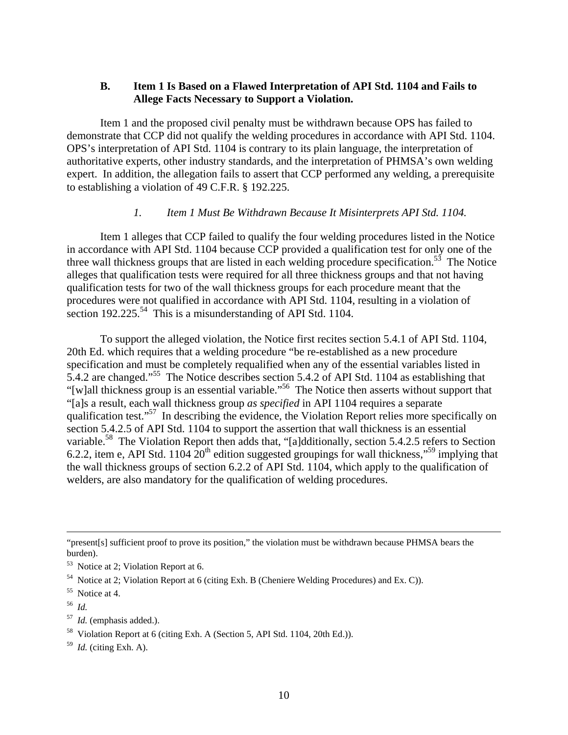## **B. Item 1 Is Based on a Flawed Interpretation of API Std. 1104 and Fails to Allege Facts Necessary to Support a Violation.**

Item 1 and the proposed civil penalty must be withdrawn because OPS has failed to demonstrate that CCP did not qualify the welding procedures in accordance with API Std. 1104. OPS's interpretation of API Std. 1104 is contrary to its plain language, the interpretation of authoritative experts, other industry standards, and the interpretation of PHMSA's own welding expert. In addition, the allegation fails to assert that CCP performed any welding, a prerequisite to establishing a violation of 49 C.F.R. § 192.225.

## *1. Item 1 Must Be Withdrawn Because It Misinterprets API Std. 1104.*

Item 1 alleges that CCP failed to qualify the four welding procedures listed in the Notice in accordance with API Std. 1104 because CCP provided a qualification test for only one of the three wall thickness groups that are listed in each welding procedure specification.<sup>53</sup> The Notice alleges that qualification tests were required for all three thickness groups and that not having qualification tests for two of the wall thickness groups for each procedure meant that the procedures were not qualified in accordance with API Std. 1104, resulting in a violation of section  $192.225^{54}$  This is a misunderstanding of API Std. 1104.

To support the alleged violation, the Notice first recites section 5.4.1 of API Std. 1104, 20th Ed. which requires that a welding procedure "be re-established as a new procedure specification and must be completely requalified when any of the essential variables listed in 5.4.2 are changed."55 The Notice describes section 5.4.2 of API Std. 1104 as establishing that "[w]all thickness group is an essential variable."<sup>56</sup> The Notice then asserts without support that "[a]s a result, each wall thickness group *as specified* in API 1104 requires a separate qualification test."<sup>57</sup> In describing the evidence, the Violation Report relies more specifically on section 5.4.2.5 of API Std. 1104 to support the assertion that wall thickness is an essential variable.<sup>58</sup> The Violation Report then adds that, "[a]dditionally, section 5.4.2.5 refers to Section 6.2.2, item e, API Std. 1104  $20<sup>th</sup>$  edition suggested groupings for wall thickness,"<sup>59</sup> implying that the wall thickness groups of section 6.2.2 of API Std. 1104, which apply to the qualification of welders, are also mandatory for the qualification of welding procedures.

<sup>56</sup>*Id.* 

 $\overline{a}$ 

- <sup>57</sup>*Id.* (emphasis added.).
- <sup>58</sup> Violation Report at 6 (citing Exh. A (Section 5, API Std. 1104, 20th Ed.)).

<sup>59</sup>*Id.* (citing Exh. A).

<sup>&</sup>quot;present[s] sufficient proof to prove its position," the violation must be withdrawn because PHMSA bears the burden).

<sup>&</sup>lt;sup>53</sup> Notice at 2; Violation Report at 6.

 $54$  Notice at 2; Violation Report at 6 (citing Exh. B (Cheniere Welding Procedures) and Ex. C)).

<sup>55</sup> Notice at 4.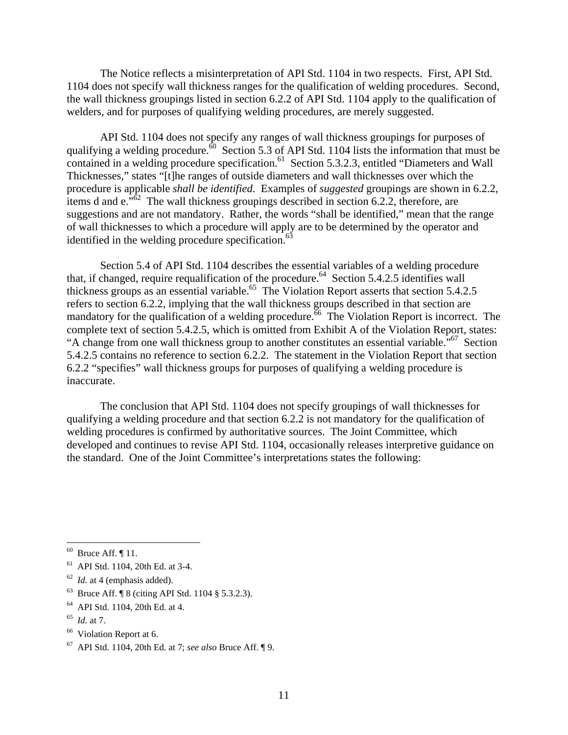The Notice reflects a misinterpretation of API Std. 1104 in two respects. First, API Std. 1104 does not specify wall thickness ranges for the qualification of welding procedures. Second, the wall thickness groupings listed in section 6.2.2 of API Std. 1104 apply to the qualification of welders, and for purposes of qualifying welding procedures, are merely suggested.

API Std. 1104 does not specify any ranges of wall thickness groupings for purposes of qualifying a welding procedure.<sup>60</sup> Section 5.3 of API Std. 1104 lists the information that must be contained in a welding procedure specification.<sup>61</sup> Section 5.3.2.3, entitled "Diameters and Wall" Thicknesses," states "[t]he ranges of outside diameters and wall thicknesses over which the procedure is applicable *shall be identified*. Examples of *suggested* groupings are shown in 6.2.2, items d and  $e^{i\pi\hat{\delta}2}$  The wall thickness groupings described in section 6.2.2, therefore, are suggestions and are not mandatory. Rather, the words "shall be identified," mean that the range of wall thicknesses to which a procedure will apply are to be determined by the operator and identified in the welding procedure specification. $63$ 

Section 5.4 of API Std. 1104 describes the essential variables of a welding procedure that, if changed, require requalification of the procedure.<sup>64</sup> Section 5.4.2.5 identifies wall thickness groups as an essential variable.<sup>65</sup> The Violation Report asserts that section 5.4.2.5 refers to section 6.2.2, implying that the wall thickness groups described in that section are mandatory for the qualification of a welding procedure. The Violation Report is incorrect. The complete text of section 5.4.2.5, which is omitted from Exhibit A of the Violation Report, states: "A change from one wall thickness group to another constitutes an essential variable."<sup>67</sup> Section 5.4.2.5 contains no reference to section 6.2.2. The statement in the Violation Report that section 6.2.2 "specifies" wall thickness groups for purposes of qualifying a welding procedure is inaccurate.

The conclusion that API Std. 1104 does not specify groupings of wall thicknesses for qualifying a welding procedure and that section 6.2.2 is not mandatory for the qualification of welding procedures is confirmed by authoritative sources. The Joint Committee, which developed and continues to revise API Std. 1104, occasionally releases interpretive guidance on the standard. One of the Joint Committee's interpretations states the following:

- <sup>63</sup> Bruce Aff. ¶ 8 (citing API Std. 1104 § 5.3.2.3).<br><sup>64</sup> API Std. 1104, 20th Ed. at 4.
- 
- <sup>65</sup>*Id.* at 7.

 $\overline{a}$ 

<sup>66</sup> Violation Report at 6.

 $61$  API Std. 1104, 20th Ed. at 3-4.

<sup>&</sup>lt;sup>62</sup> *Id.* at 4 (emphasis added).

 67 API Std. 1104, 20th Ed. at 7; *see also* Bruce Aff. ¶ 9. 11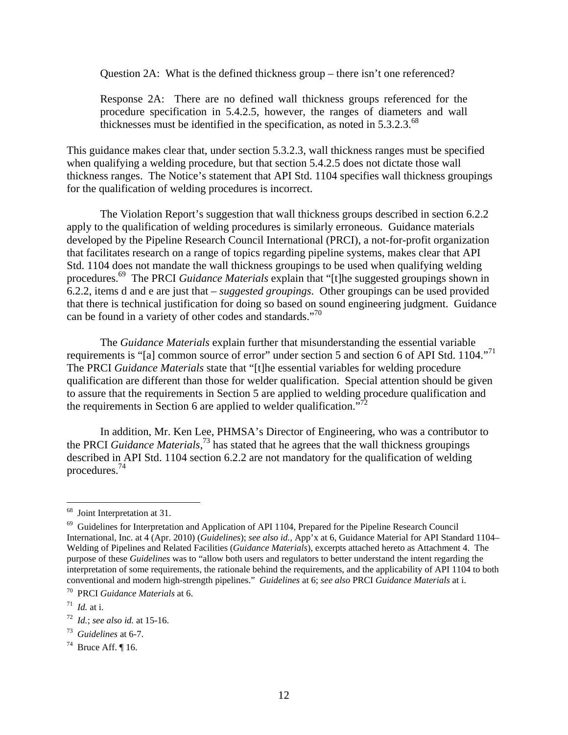Question 2A: What is the defined thickness group – there isn't one referenced?

Response 2A: There are no defined wall thickness groups referenced for the procedure specification in 5.4.2.5, however, the ranges of diameters and wall thicknesses must be identified in the specification, as noted in  $5.3.2.3$ .<sup>68</sup>

This guidance makes clear that, under section 5.3.2.3, wall thickness ranges must be specified when qualifying a welding procedure, but that section 5.4.2.5 does not dictate those wall thickness ranges. The Notice's statement that API Std. 1104 specifies wall thickness groupings for the qualification of welding procedures is incorrect.

can be found in a variety of other codes and standards."<sup>70</sup> The Violation Report's suggestion that wall thickness groups described in section 6.2.2 apply to the qualification of welding procedures is similarly erroneous. Guidance materials developed by the Pipeline Research Council International (PRCI), a not-for-profit organization that facilitates research on a range of topics regarding pipeline systems, makes clear that API Std. 1104 does not mandate the wall thickness groupings to be used when qualifying welding procedures.69 The PRCI *Guidance Materials* explain that "[t]he suggested groupings shown in 6.2.2, items d and e are just that – *suggested groupings*. Other groupings can be used provided that there is technical justification for doing so based on sound engineering judgment. Guidance

requirements is "[a] common source of error" under section 5 and section 6 of API Std. 1104."<sup>71</sup> the requirements in Section 6 are applied to welder qualification. $\frac{m}{r^2}$ The *Guidance Materials* explain further that misunderstanding the essential variable The PRCI *Guidance Materials* state that "[t]he essential variables for welding procedure qualification are different than those for welder qualification. Special attention should be given to assure that the requirements in Section 5 are applied to welding procedure qualification and

In addition, Mr. Ken Lee, PHMSA's Director of Engineering, who was a contributor to the PRCI *Guidance Materials*, 73 has stated that he agrees that the wall thickness groupings described in API Std. 1104 section 6.2.2 are not mandatory for the qualification of welding procedures.74

<sup>68</sup> Joint Interpretation at 31.

 interpretation of some requirements, the rationale behind the requirements, and the applicability of API 1104 to both  $69$  Guidelines for Interpretation and Application of API 1104, Prepared for the Pipeline Research Council International, Inc. at 4 (Apr. 2010) (*Guidelines*); *see also id.*, App'x at 6, Guidance Material for API Standard 1104– Welding of Pipelines and Related Facilities (*Guidance Materials*), excerpts attached hereto as Attachment 4. The purpose of these *Guidelines* was to "allow both users and regulators to better understand the intent regarding the conventional and modern high-strength pipelines." *Guidelines* at 6; *see also* PRCI *Guidance Materials* at i. <sup>70</sup> PRCI *Guidance Materials* at i.

 $1/71$  *Id.* at i.

 <sup>72</sup>*Id.*; *see also id.* at 15-16.

<sup>&</sup>lt;sup>73</sup> *Guidelines* at 6-7.<br><sup>74</sup> Bruce Aff. ¶ 16.

 $74$  Bruce Aff. 16.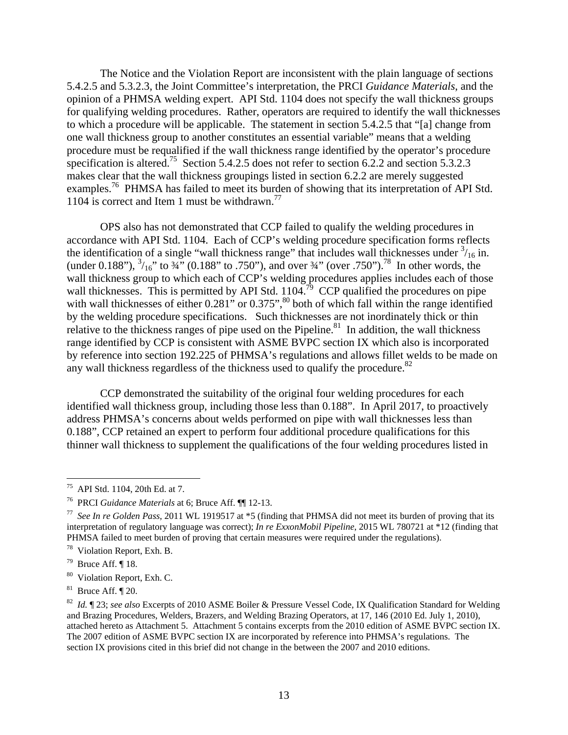The Notice and the Violation Report are inconsistent with the plain language of sections 5.4.2.5 and 5.3.2.3, the Joint Committee's interpretation, the PRCI *Guidance Materials*, and the opinion of a PHMSA welding expert. API Std. 1104 does not specify the wall thickness groups for qualifying welding procedures. Rather, operators are required to identify the wall thicknesses to which a procedure will be applicable. The statement in section 5.4.2.5 that "[a] change from one wall thickness group to another constitutes an essential variable" means that a welding procedure must be requalified if the wall thickness range identified by the operator's procedure specification is altered.<sup>75</sup> Section 5.4.2.5 does not refer to section 6.2.2 and section 5.3.2.3 makes clear that the wall thickness groupings listed in section 6.2.2 are merely suggested examples.<sup>76</sup> PHMSA has failed to meet its burden of showing that its interpretation of API Std. 1104 is correct and Item 1 must be withdrawn.<sup>77</sup>

any wall thickness regardless of the thickness used to qualify the procedure. $82$ OPS also has not demonstrated that CCP failed to qualify the welding procedures in accordance with API Std. 1104. Each of CCP's welding procedure specification forms reflects the identification of a single "wall thickness range" that includes wall thicknesses under  $\frac{3}{16}$  in. (under 0.188"),  $\frac{3}{16}$ " to  $\frac{34}{16}$ " (0.188" to .750"), and over  $\frac{34}{16}$ " (over .750").<sup>78</sup> In other words, the wall thickness group to which each of CCP's welding procedures applies includes each of those wall thicknesses. This is permitted by API Std.  $1104$ <sup>79</sup> CCP qualified the procedures on pipe with wall thicknesses of either  $0.281$ " or  $0.375$ ",  $80$  both of which fall within the range identified by the welding procedure specifications. Such thicknesses are not inordinately thick or thin relative to the thickness ranges of pipe used on the Pipeline.<sup>81</sup> In addition, the wall thickness range identified by CCP is consistent with ASME BVPC section IX which also is incorporated by reference into section 192.225 of PHMSA's regulations and allows fillet welds to be made on

CCP demonstrated the suitability of the original four welding procedures for each identified wall thickness group, including those less than 0.188". In April 2017, to proactively address PHMSA's concerns about welds performed on pipe with wall thicknesses less than 0.188", CCP retained an expert to perform four additional procedure qualifications for this thinner wall thickness to supplement the qualifications of the four welding procedures listed in

1

API Std. 1104, 20th Ed. at 7.

<sup>&</sup>lt;sup>76</sup> PRCI *Guidance Materials* at 6; Bruce Aff. ¶¶ 12-13.<br><sup>77</sup> *See In re Golden Pass*, 2011 WL 1919517 at \*5 (finding that PHMSA did not meet its burden of proving that its interpretation of regulatory language was correct); *In re ExxonMobil Pipeline*, 2015 WL 780721 at \*12 (finding that PHMSA failed to meet burden of proving that certain measures were required under the regulations).

<sup>78</sup> Violation Report, Exh. B.

<sup>&</sup>lt;sup>79</sup> Bruce Aff.  $\P$  18.

<sup>&</sup>lt;sup>80</sup> Violation Report, Exh. C.

 $81$  Bruce Aff.  $\P$  20.

<sup>&</sup>lt;sup>81</sup> Bruce Aff. ¶ 20.<br><sup>82</sup> *Id.* ¶ 23; *see also* Excerpts of 2010 ASME Boiler & Pressure Vessel Code, IX Qualification Standard for Welding attached hereto as Attachment 5. Attachment 5 contains excerpts from the 2010 edition of ASME BVPC section IX. and Brazing Procedures, Welders, Brazers, and Welding Brazing Operators, at 17, 146 (2010 Ed. July 1, 2010), The 2007 edition of ASME BVPC section IX are incorporated by reference into PHMSA's regulations. The section IX provisions cited in this brief did not change in the between the 2007 and 2010 editions.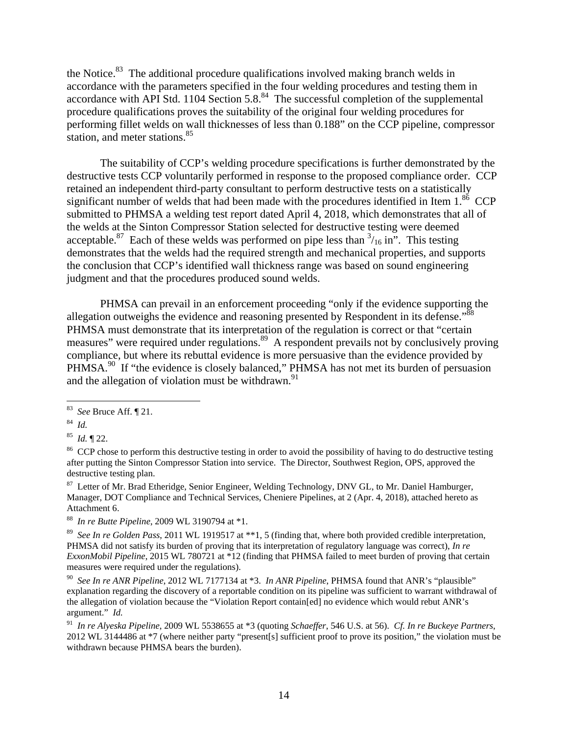the Notice.<sup>83</sup> The additional procedure qualifications involved making branch welds in accordance with the parameters specified in the four welding procedures and testing them in accordance with API Std. 1104 Section  $5.8<sup>84</sup>$  The successful completion of the supplemental procedure qualifications proves the suitability of the original four welding procedures for performing fillet welds on wall thicknesses of less than 0.188" on the CCP pipeline, compressor station, and meter stations.<sup>85</sup>

The suitability of CCP's welding procedure specifications is further demonstrated by the destructive tests CCP voluntarily performed in response to the proposed compliance order. CCP retained an independent third-party consultant to perform destructive tests on a statistically significant number of welds that had been made with the procedures identified in Item  $1.^{86}$  CCP submitted to PHMSA a welding test report dated April 4, 2018, which demonstrates that all of the welds at the Sinton Compressor Station selected for destructive testing were deemed acceptable.<sup>87</sup> Each of these welds was performed on pipe less than  $\frac{3}{16}$  in". This testing demonstrates that the welds had the required strength and mechanical properties, and supports the conclusion that CCP's identified wall thickness range was based on sound engineering judgment and that the procedures produced sound welds.

allegation outweighs the evidence and reasoning presented by Respondent in its defense.<sup>388</sup> and the allegation of violation must be withdrawn. $91$ PHMSA can prevail in an enforcement proceeding "only if the evidence supporting the PHMSA must demonstrate that its interpretation of the regulation is correct or that "certain measures" were required under regulations.<sup>89</sup> A respondent prevails not by conclusively proving compliance, but where its rebuttal evidence is more persuasive than the evidence provided by PHMSA.<sup>90</sup> If "the evidence is closely balanced," PHMSA has not met its burden of persuasion

<u>.</u>

<sup>88</sup>*In re Butte Pipeline*, 2009 WL 3190794 at \*1.

 <sup>83</sup>*See* Bruce Aff. ¶ 21. 84 *Id.* 

 $84$  Id.

 $^{85}$  *Id.*  $\P$  22.

<sup>&</sup>lt;sup>85</sup> *Id.* ¶ 22.<br><sup>86</sup> CCP chose to perform this destructive testing in order to avoid the possibility of having to do destructive testing after putting the Sinton Compressor Station into service. The Director, Southwest Region, OPS, approved the destructive testing plan.

<sup>&</sup>lt;sup>87</sup> Letter of Mr. Brad Etheridge, Senior Engineer, Welding Technology, DNV GL, to Mr. Daniel Hamburger, Manager, DOT Compliance and Technical Services, Cheniere Pipelines, at 2 (Apr. 4, 2018), attached hereto as Attachment 6.

 <sup>89</sup>*See In re Golden Pass*, 2011 WL 1919517 at \*\*1, 5 (finding that, where both provided credible interpretation, PHMSA did not satisfy its burden of proving that its interpretation of regulatory language was correct), *In re ExxonMobil Pipeline*, 2015 WL 780721 at \*12 (finding that PHMSA failed to meet burden of proving that certain measures were required under the regulations).

 <sup>90</sup>*See In re ANR Pipeline*, 2012 WL 7177134 at \*3. *In ANR Pipeline*, PHMSA found that ANR's "plausible" explanation regarding the discovery of a reportable condition on its pipeline was sufficient to warrant withdrawal of the allegation of violation because the "Violation Report contain[ed] no evidence which would rebut ANR's argument." *Id.* 

 <sup>91</sup>*In re Alyeska Pipeline*, 2009 WL 5538655 at \*3 (quoting *Schaeffer*, 546 U.S. at 56). *Cf. In re Buckeye Partners*, 2012 WL 3144486 at \*7 (where neither party "present[s] sufficient proof to prove its position," the violation must be withdrawn because PHMSA bears the burden).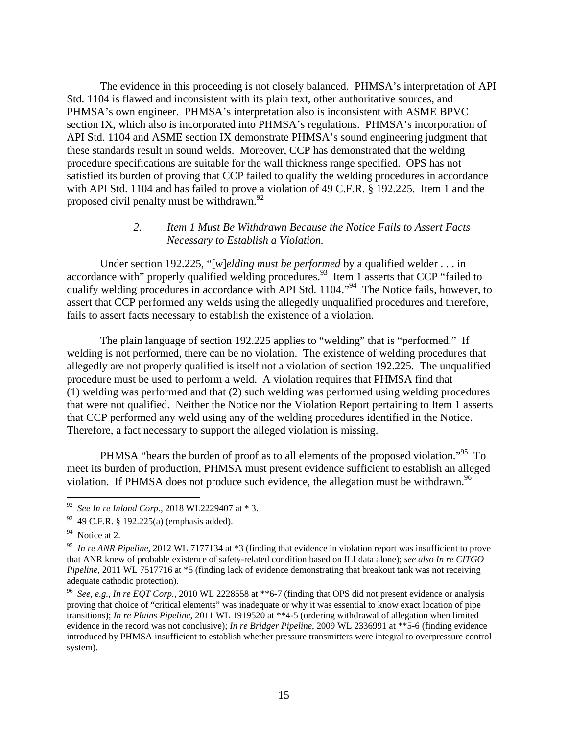The evidence in this proceeding is not closely balanced. PHMSA's interpretation of API Std. 1104 is flawed and inconsistent with its plain text, other authoritative sources, and PHMSA's own engineer. PHMSA's interpretation also is inconsistent with ASME BPVC section IX, which also is incorporated into PHMSA's regulations. PHMSA's incorporation of API Std. 1104 and ASME section IX demonstrate PHMSA's sound engineering judgment that these standards result in sound welds. Moreover, CCP has demonstrated that the welding procedure specifications are suitable for the wall thickness range specified. OPS has not satisfied its burden of proving that CCP failed to qualify the welding procedures in accordance with API Std. 1104 and has failed to prove a violation of 49 C.F.R. § 192.225. Item 1 and the proposed civil penalty must be withdrawn.<sup>92</sup>

### *2. Item 1 Must Be Withdrawn Because the Notice Fails to Assert Facts Necessary to Establish a Violation.*

Under section 192.225, "[*w*]*elding must be performed* by a qualified welder . . . in accordance with" properly qualified welding procedures.<sup>93</sup> Item 1 asserts that CCP "failed to qualify welding procedures in accordance with API Std. 1104.<sup> $\frac{94}{100}$ </sup> The Notice fails, however, to assert that CCP performed any welds using the allegedly unqualified procedures and therefore, fails to assert facts necessary to establish the existence of a violation.

The plain language of section 192.225 applies to "welding" that is "performed." If welding is not performed, there can be no violation. The existence of welding procedures that allegedly are not properly qualified is itself not a violation of section 192.225. The unqualified procedure must be used to perform a weld. A violation requires that PHMSA find that (1) welding was performed and that (2) such welding was performed using welding procedures that were not qualified. Neither the Notice nor the Violation Report pertaining to Item 1 asserts that CCP performed any weld using any of the welding procedures identified in the Notice. Therefore, a fact necessary to support the alleged violation is missing.

violation. If PHMSA does not produce such evidence, the allegation must be withdrawn.<sup>96</sup> PHMSA "bears the burden of proof as to all elements of the proposed violation."<sup>95</sup> To meet its burden of production, PHMSA must present evidence sufficient to establish an alleged

 <sup>92</sup>*See In re Inland Corp.*, 2018 WL2229407 at \* 3.

 $93$  49 C.F.R. § 192.225(a) (emphasis added).

 $94$  Notice at 2.

 <sup>95</sup>*In re ANR Pipeline*, 2012 WL 7177134 at \*3 (finding that evidence in violation report was insufficient to prove *Pipeline*, 2011 WL 7517716 at \*5 (finding lack of evidence demonstrating that breakout tank was not receiving that ANR knew of probable existence of safety-related condition based on ILI data alone); *see also In re CITGO*  adequate cathodic protection).

 <sup>96</sup>*See, e.g.*, *In re EQT Corp.*, 2010 WL 2228558 at \*\*6-7 (finding that OPS did not present evidence or analysis proving that choice of "critical elements" was inadequate or why it was essential to know exact location of pipe transitions); *In re Plains Pipeline*, 2011 WL 1919520 at \*\*4-5 (ordering withdrawal of allegation when limited evidence in the record was not conclusive); *In re Bridger Pipeline*, 2009 WL 2336991 at \*\*5-6 (finding evidence introduced by PHMSA insufficient to establish whether pressure transmitters were integral to overpressure control system).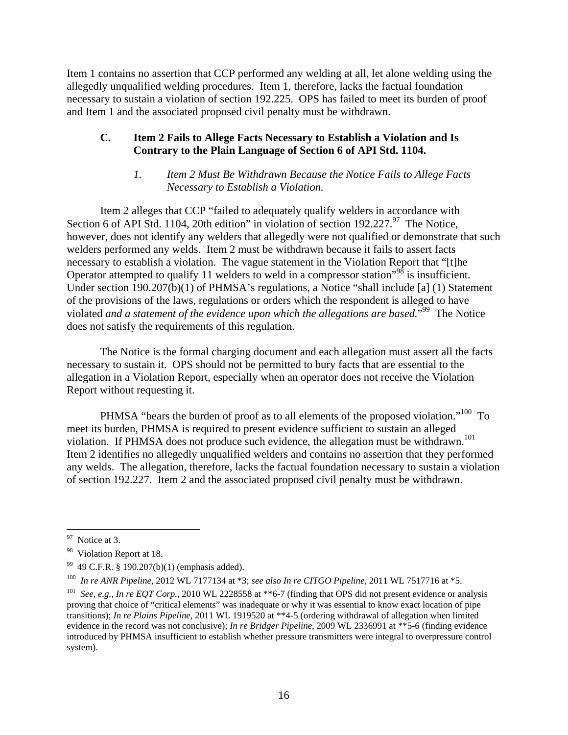Item 1 contains no assertion that CCP performed any welding at all, let alone welding using the allegedly unqualified welding procedures. Item 1, therefore, lacks the factual foundation necessary to sustain a violation of section 192.225. OPS has failed to meet its burden of proof and Item 1 and the associated proposed civil penalty must be withdrawn.

# **C. Item 2 Fails to Allege Facts Necessary to Establish a Violation and Is Contrary to the Plain Language of Section 6 of API Std. 1104.**

# *1. Item 2 Must Be Withdrawn Because the Notice Fails to Allege Facts Necessary to Establish a Violation.*

Item 2 alleges that CCP "failed to adequately qualify welders in accordance with Section 6 of API Std. 1104, 20th edition" in violation of section 192.227. $97$  The Notice, however, does not identify any welders that allegedly were not qualified or demonstrate that such welders performed any welds. Item 2 must be withdrawn because it fails to assert facts necessary to establish a violation. The vague statement in the Violation Report that "[t]he Operator attempted to qualify 11 welders to weld in a compressor station<sup>"98</sup> is insufficient. Under section 190.207(b)(1) of PHMSA's regulations, a Notice "shall include [a] (1) Statement of the provisions of the laws, regulations or orders which the respondent is alleged to have violated *and a statement of the evidence upon which the allegations are based.*<sup>"99</sup> The Notice does not satisfy the requirements of this regulation.

The Notice is the formal charging document and each allegation must assert all the facts necessary to sustain it. OPS should not be permitted to bury facts that are essential to the allegation in a Violation Report, especially when an operator does not receive the Violation Report without requesting it.

violation. If PHMSA does not produce such evidence, the allegation must be withdrawn.<sup>101</sup> PHMSA "bears the burden of proof as to all elements of the proposed violation."<sup>100</sup> To meet its burden, PHMSA is required to present evidence sufficient to sustain an alleged Item 2 identifies no allegedly unqualified welders and contains no assertion that they performed any welds. The allegation, therefore, lacks the factual foundation necessary to sustain a violation of section 192.227. Item 2 and the associated proposed civil penalty must be withdrawn.

 $\mathbf{97}$ Notice at 3.

<sup>&</sup>lt;sup>98</sup> Violation Report at 18.

<sup>99 49</sup> C.F.R. § 190.207(b)(1) (emphasis added).

<sup>&</sup>lt;sup>100</sup> In re ANR Pipeline, 2012 WL 7177134 at \*3; see also In re CITGO Pipeline, 2011 WL 7517716 at \*5.

<sup>&</sup>lt;sup>100</sup> In re ANR Pipeline, 2012 WL 7177134 at \*3; see also In re CITGO Pipeline, 2011 WL 7517716 at \*5.<br><sup>101</sup> See, e.g., In re EQT Corp., 2010 WL 2228558 at \*\*6-7 (finding that OPS did not present evidence or analysis proving that choice of "critical elements" was inadequate or why it was essential to know exact location of pipe transitions); *In re Plains Pipeline*, 2011 WL 1919520 at \*\*4-5 (ordering withdrawal of allegation when limited evidence in the record was not conclusive); *In re Bridger Pipeline*, 2009 WL 2336991 at \*\*5-6 (finding evidence introduced by PHMSA insufficient to establish whether pressure transmitters were integral to overpressure control system).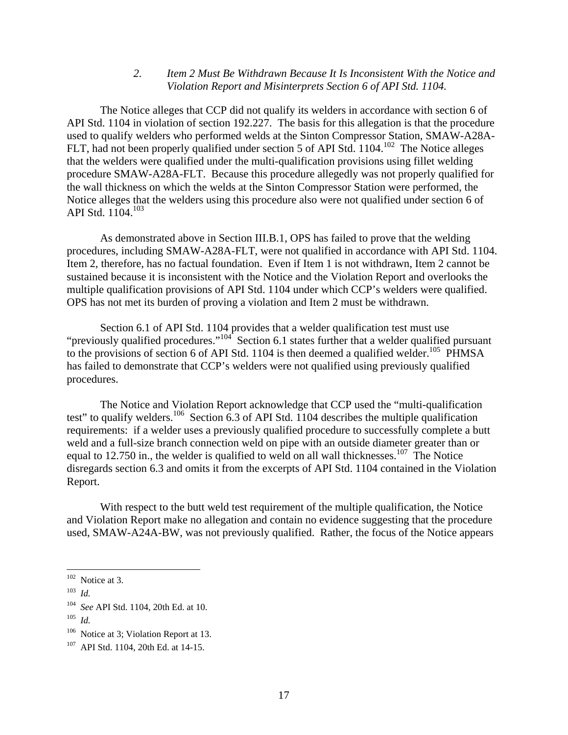#### *2. Item 2 Must Be Withdrawn Because It Is Inconsistent With the Notice and Violation Report and Misinterprets Section 6 of API Std. 1104.*

API Std. 1104.<sup>103</sup> The Notice alleges that CCP did not qualify its welders in accordance with section 6 of API Std. 1104 in violation of section 192.227. The basis for this allegation is that the procedure used to qualify welders who performed welds at the Sinton Compressor Station, SMAW-A28A-FLT, had not been properly qualified under section 5 of API Std. 1104.<sup>102</sup> The Notice alleges that the welders were qualified under the multi-qualification provisions using fillet welding procedure SMAW-A28A-FLT. Because this procedure allegedly was not properly qualified for the wall thickness on which the welds at the Sinton Compressor Station were performed, the Notice alleges that the welders using this procedure also were not qualified under section 6 of

As demonstrated above in Section III.B.1, OPS has failed to prove that the welding procedures, including SMAW-A28A-FLT, were not qualified in accordance with API Std. 1104. Item 2, therefore, has no factual foundation. Even if Item 1 is not withdrawn, Item 2 cannot be sustained because it is inconsistent with the Notice and the Violation Report and overlooks the multiple qualification provisions of API Std. 1104 under which CCP's welders were qualified. OPS has not met its burden of proving a violation and Item 2 must be withdrawn.

Section 6.1 of API Std. 1104 provides that a welder qualification test must use "previously qualified procedures."<sup>104</sup> Section 6.1 states further that a welder qualified pursuant to the provisions of section 6 of API Std. 1104 is then deemed a qualified welder.<sup>105</sup> PHMSA has failed to demonstrate that CCP's welders were not qualified using previously qualified procedures.

The Notice and Violation Report acknowledge that CCP used the "multi-qualification test" to qualify welders.<sup>106</sup> Section 6.3 of API Std. 1104 describes the multiple qualification requirements: if a welder uses a previously qualified procedure to successfully complete a butt weld and a full-size branch connection weld on pipe with an outside diameter greater than or equal to 12.750 in., the welder is qualified to weld on all wall thicknesses.<sup>107</sup> The Notice disregards section 6.3 and omits it from the excerpts of API Std. 1104 contained in the Violation Report.

With respect to the butt weld test requirement of the multiple qualification, the Notice and Violation Report make no allegation and contain no evidence suggesting that the procedure used, SMAW-A24A-BW, was not previously qualified. Rather, the focus of the Notice appears

 $102$  Notice at 3.

 <sup>103</sup>*Id.* 

 <sup>104</sup>*See* API Std. 1104, 20th Ed. at 10.

 <sup>105</sup>*Id.* 

<sup>&</sup>lt;sup>106</sup> Notice at 3; Violation Report at 13.

<sup>107</sup> API Std. 1104, 20th Ed. at 14-15.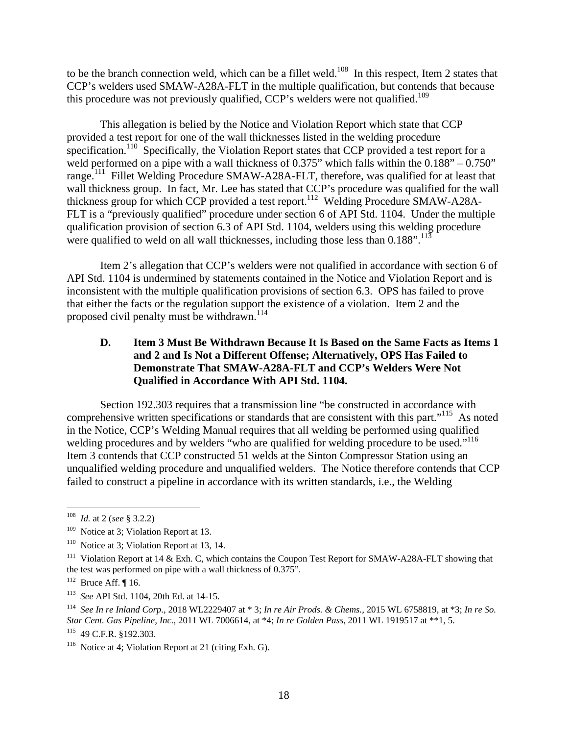this procedure was not previously qualified, CCP's welders were not qualified.<sup>109</sup> to be the branch connection weld, which can be a fillet weld.<sup>108</sup> In this respect, Item 2 states that CCP's welders used SMAW-A28A-FLT in the multiple qualification, but contends that because

This allegation is belied by the Notice and Violation Report which state that CCP provided a test report for one of the wall thicknesses listed in the welding procedure specification.<sup>110</sup> Specifically, the Violation Report states that CCP provided a test report for a weld performed on a pipe with a wall thickness of 0.375" which falls within the  $0.188" - 0.750"$ range.<sup>111</sup> Fillet Welding Procedure SMAW-A28A-FLT, therefore, was qualified for at least that wall thickness group. In fact, Mr. Lee has stated that CCP's procedure was qualified for the wall thickness group for which CCP provided a test report.<sup>112</sup> Welding Procedure SMAW-A28A-FLT is a "previously qualified" procedure under section 6 of API Std. 1104. Under the multiple qualification provision of section 6.3 of API Std. 1104, welders using this welding procedure were qualified to weld on all wall thicknesses, including those less than  $0.188$ ".<sup>113</sup>

proposed civil penalty must be withdrawn.<sup>114</sup> Item 2's allegation that CCP's welders were not qualified in accordance with section 6 of API Std. 1104 is undermined by statements contained in the Notice and Violation Report and is inconsistent with the multiple qualification provisions of section 6.3. OPS has failed to prove that either the facts or the regulation support the existence of a violation. Item 2 and the

# **D. Item 3 Must Be Withdrawn Because It Is Based on the Same Facts as Items 1 and 2 and Is Not a Different Offense; Alternatively, OPS Has Failed to Demonstrate That SMAW-A28A-FLT and CCP's Welders Were Not Qualified in Accordance With API Std. 1104.**

welding procedures and by welders "who are qualified for welding procedure to be used."<sup>116</sup> Section 192.303 requires that a transmission line "be constructed in accordance with comprehensive written specifications or standards that are consistent with this part."<sup>115</sup> As noted in the Notice, CCP's Welding Manual requires that all welding be performed using qualified Item 3 contends that CCP constructed 51 welds at the Sinton Compressor Station using an unqualified welding procedure and unqualified welders. The Notice therefore contends that CCP failed to construct a pipeline in accordance with its written standards, i.e., the Welding

1

 <sup>108</sup>*Id.* at 2 (*see* § 3.2.2)

<sup>&</sup>lt;sup>109</sup> Notice at 3; Violation Report at 13.

<sup>&</sup>lt;sup>110</sup> Notice at 3; Violation Report at 13, 14.

 the test was performed on pipe with a wall thickness of 0.375". <sup>111</sup> Violation Report at 14 & Exh. C, which contains the Coupon Test Report for SMAW-A28A-FLT showing that

 $112$  Bruce Aff. [16.

<sup>&</sup>lt;sup>113</sup> See API Std. 1104, 20th Ed. at 14-15.

<sup>&</sup>lt;sup>113</sup> See API Std. 1104, 20th Ed. at 14-15.<br><sup>114</sup> See In re Inland Corp., 2018 WL2229407 at \* 3; In re Air Prods. & Chems., 2015 WL 6758819, at \*3; In re So. *Star Cent. Gas Pipeline, Inc.*, 2011 WL 7006614, at \*4; *In re Golden Pass*, 2011 WL 1919517 at \*\*1, 5. 115 49 C.F.R. §192.303.

 $116$  Notice at 4; Violation Report at 21 (citing Exh. G).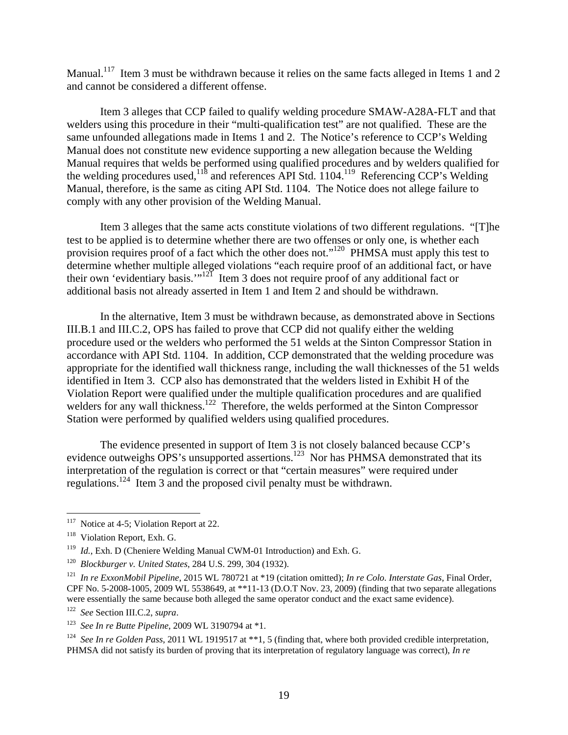Manual.<sup>117</sup> Item 3 must be withdrawn because it relies on the same facts alleged in Items 1 and 2 and cannot be considered a different offense.

Item 3 alleges that CCP failed to qualify welding procedure SMAW-A28A-FLT and that welders using this procedure in their "multi-qualification test" are not qualified. These are the same unfounded allegations made in Items 1 and 2. The Notice's reference to CCP's Welding Manual does not constitute new evidence supporting a new allegation because the Welding Manual requires that welds be performed using qualified procedures and by welders qualified for the welding procedures used,<sup>118</sup> and references API Std. 1104.<sup>119</sup> Referencing CCP's Welding Manual, therefore, is the same as citing API Std. 1104. The Notice does not allege failure to comply with any other provision of the Welding Manual.

Item 3 alleges that the same acts constitute violations of two different regulations. "[T]he test to be applied is to determine whether there are two offenses or only one, is whether each provision requires proof of a fact which the other does not."<sup>120</sup> PHMSA must apply this test to determine whether multiple alleged violations "each require proof of an additional fact, or have their own 'evidentiary basis.'"<sup>121</sup> Item 3 does not require proof of any additional fact or additional basis not already asserted in Item 1 and Item 2 and should be withdrawn.

In the alternative, Item 3 must be withdrawn because, as demonstrated above in Sections III.B.1 and III.C.2, OPS has failed to prove that CCP did not qualify either the welding procedure used or the welders who performed the 51 welds at the Sinton Compressor Station in accordance with API Std. 1104. In addition, CCP demonstrated that the welding procedure was appropriate for the identified wall thickness range, including the wall thicknesses of the 51 welds identified in Item 3. CCP also has demonstrated that the welders listed in Exhibit H of the Violation Report were qualified under the multiple qualification procedures and are qualified welders for any wall thickness.<sup>122</sup> Therefore, the welds performed at the Sinton Compressor Station were performed by qualified welders using qualified procedures.

The evidence presented in support of Item 3 is not closely balanced because CCP's evidence outweighs OPS's unsupported assertions.<sup>123</sup> Nor has PHMSA demonstrated that its interpretation of the regulation is correct or that "certain measures" were required under regulations.124 Item 3 and the proposed civil penalty must be withdrawn.

 $117$  Notice at 4-5; Violation Report at 22.

<sup>&</sup>lt;sup>118</sup> Violation Report, Exh. G.

<sup>&</sup>lt;sup>119</sup> Id., Exh. D (Cheniere Welding Manual CWM-01 Introduction) and Exh. G.

<sup>&</sup>lt;sup>120</sup> Blockburger v. United States, 284 U.S. 299, 304 (1932).

 <sup>120</sup>*Blockburger v. United States*, 284 U.S. 299, 304 (1932). 121 *In re ExxonMobil Pipeline*, 2015 WL 780721 at \*19 (citation omitted); *In re Colo. Interstate Gas*, Final Order, CPF No. 5-2008-1005, 2009 WL 5538649, at \*\*11-13 (D.O.T Nov. 23, 2009) (finding that two separate allegations were essentially the same because both alleged the same operator conduct and the exact same evidence).

<sup>&</sup>lt;sup>122</sup> See Section III.C.2, supra.

 <sup>123</sup>*See In re Butte Pipeline*, 2009 WL 3190794 at \*1.

<sup>&</sup>lt;sup>124</sup> See In re Golden Pass, 2011 WL 1919517 at \*\*1, 5 (finding that, where both provided credible interpretation, PHMSA did not satisfy its burden of proving that its interpretation of regulatory language was correct), *In re*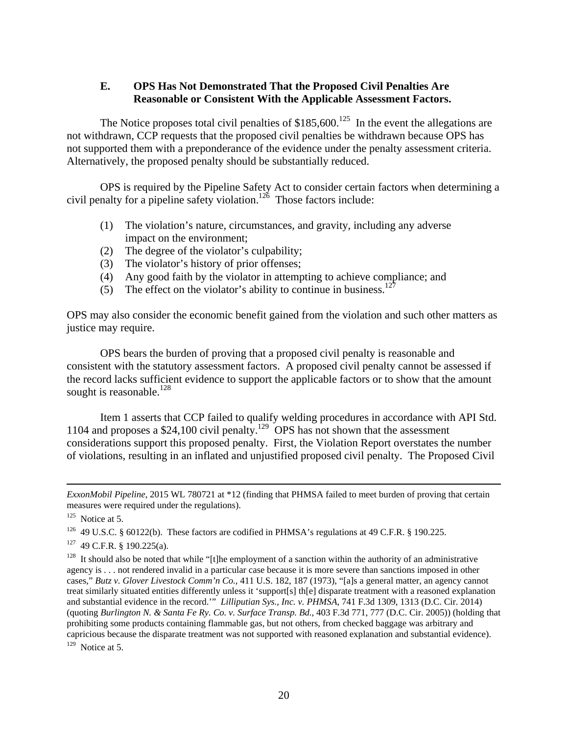# **E. OPS Has Not Demonstrated That the Proposed Civil Penalties Are Reasonable or Consistent With the Applicable Assessment Factors.**

The Notice proposes total civil penalties of  $$185,600$ .<sup>125</sup> In the event the allegations are not withdrawn, CCP requests that the proposed civil penalties be withdrawn because OPS has not supported them with a preponderance of the evidence under the penalty assessment criteria. Alternatively, the proposed penalty should be substantially reduced.

OPS is required by the Pipeline Safety Act to consider certain factors when determining a civil penalty for a pipeline safety violation.<sup>126</sup> Those factors include:

- (1) The violation's nature, circumstances, and gravity, including any adverse impact on the environment;
- (2) The degree of the violator's culpability;
- (3) The violator's history of prior offenses;
- (4) Any good faith by the violator in attempting to achieve compliance; and
- (5) The effect on the violator's ability to continue in business.<sup>127</sup>

OPS may also consider the economic benefit gained from the violation and such other matters as justice may require.

sought is reasonable. $^{128}$ OPS bears the burden of proving that a proposed civil penalty is reasonable and consistent with the statutory assessment factors. A proposed civil penalty cannot be assessed if the record lacks sufficient evidence to support the applicable factors or to show that the amount

Item 1 asserts that CCP failed to qualify welding procedures in accordance with API Std. 1104 and proposes a \$24,100 civil penalty.<sup>129</sup> OPS has not shown that the assessment considerations support this proposed penalty. First, the Violation Report overstates the number of violations, resulting in an inflated and unjustified proposed civil penalty. The Proposed Civil

*ExxonMobil Pipeline*, 2015 WL 780721 at \*12 (finding that PHMSA failed to meet burden of proving that certain measures were required under the regulations).

 $125$  Notice at 5.

<sup>&</sup>lt;sup>126</sup> 49 U.S.C. § 60122(b). These factors are codified in PHMSA's regulations at 49 C.F.R. § 190.225.

 $127$  49 C.F.R. § 190.225(a).

 cases," *Butz v. Glover Livestock Comm'n Co.*, 411 U.S. 182, 187 (1973), "[a]s a general matter, an agency cannot and substantial evidence in the record.'" *Lilliputian Sys., Inc. v. PHMSA*, 741 F.3d 1309, 1313 (D.C. Cir. 2014) (quoting *Burlington N. & Santa Fe Ry. Co. v. Surface Transp. Bd.*, 403 F.3d 771, 777 (D.C. Cir. 2005)) (holding that <sup>128</sup> It should also be noted that while "[t]he employment of a sanction within the authority of an administrative agency is . . . not rendered invalid in a particular case because it is more severe than sanctions imposed in other treat similarly situated entities differently unless it 'support[s] th[e] disparate treatment with a reasoned explanation prohibiting some products containing flammable gas, but not others, from checked baggage was arbitrary and capricious because the disparate treatment was not supported with reasoned explanation and substantial evidence).  $129$  Notice at 5.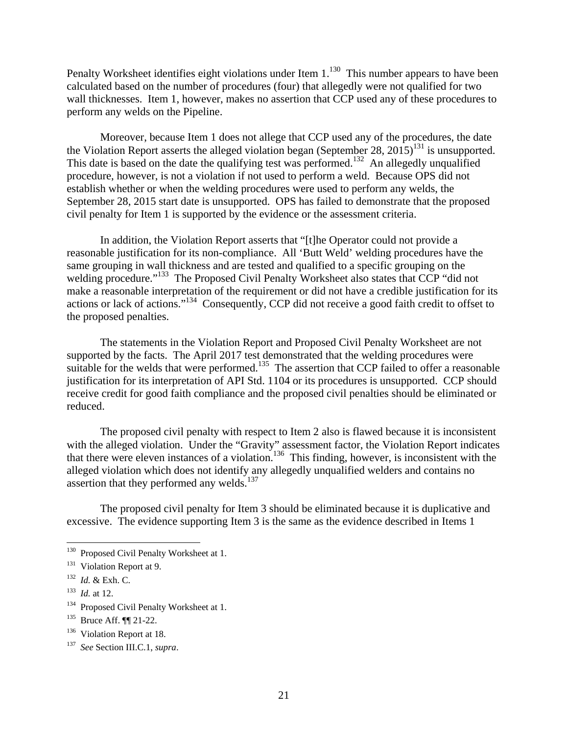Penalty Worksheet identifies eight violations under Item 1.<sup>130</sup> This number appears to have been calculated based on the number of procedures (four) that allegedly were not qualified for two wall thicknesses. Item 1, however, makes no assertion that CCP used any of these procedures to perform any welds on the Pipeline.

Moreover, because Item 1 does not allege that CCP used any of the procedures, the date the Violation Report asserts the alleged violation began (September 28, 2015)<sup>131</sup> is unsupported. This date is based on the date the qualifying test was performed.<sup>132</sup> An allegedly unqualified procedure, however, is not a violation if not used to perform a weld. Because OPS did not establish whether or when the welding procedures were used to perform any welds, the September 28, 2015 start date is unsupported. OPS has failed to demonstrate that the proposed civil penalty for Item 1 is supported by the evidence or the assessment criteria.

In addition, the Violation Report asserts that "[t]he Operator could not provide a reasonable justification for its non-compliance. All 'Butt Weld' welding procedures have the same grouping in wall thickness and are tested and qualified to a specific grouping on the welding procedure."<sup>133</sup> The Proposed Civil Penalty Worksheet also states that CCP "did not make a reasonable interpretation of the requirement or did not have a credible justification for its actions or lack of actions."134 Consequently, CCP did not receive a good faith credit to offset to the proposed penalties.

The statements in the Violation Report and Proposed Civil Penalty Worksheet are not supported by the facts. The April 2017 test demonstrated that the welding procedures were suitable for the welds that were performed.<sup>135</sup> The assertion that CCP failed to offer a reasonable justification for its interpretation of API Std. 1104 or its procedures is unsupported. CCP should receive credit for good faith compliance and the proposed civil penalties should be eliminated or reduced.

The proposed civil penalty with respect to Item 2 also is flawed because it is inconsistent with the alleged violation. Under the "Gravity" assessment factor, the Violation Report indicates that there were eleven instances of a violation.<sup>136</sup> This finding, however, is inconsistent with the alleged violation which does not identify any allegedly unqualified welders and contains no assertion that they performed any welds.<sup>137</sup>

The proposed civil penalty for Item 3 should be eliminated because it is duplicative and excessive. The evidence supporting Item 3 is the same as the evidence described in Items 1

1

<sup>&</sup>lt;sup>130</sup> Proposed Civil Penalty Worksheet at 1.

<sup>&</sup>lt;sup>131</sup> Violation Report at 9.

 <sup>132</sup>*Id.* & Exh. C.

 $133$  *Id.* at 12.

<sup>&</sup>lt;sup>134</sup> Proposed Civil Penalty Worksheet at 1.

<sup>&</sup>lt;sup>135</sup> Bruce Aff.  $\P$  21-22.<br><sup>136</sup> Violation Report at 18.

 136 Violation Report at 18. 137 *See* Section III.C.1, *supra*.